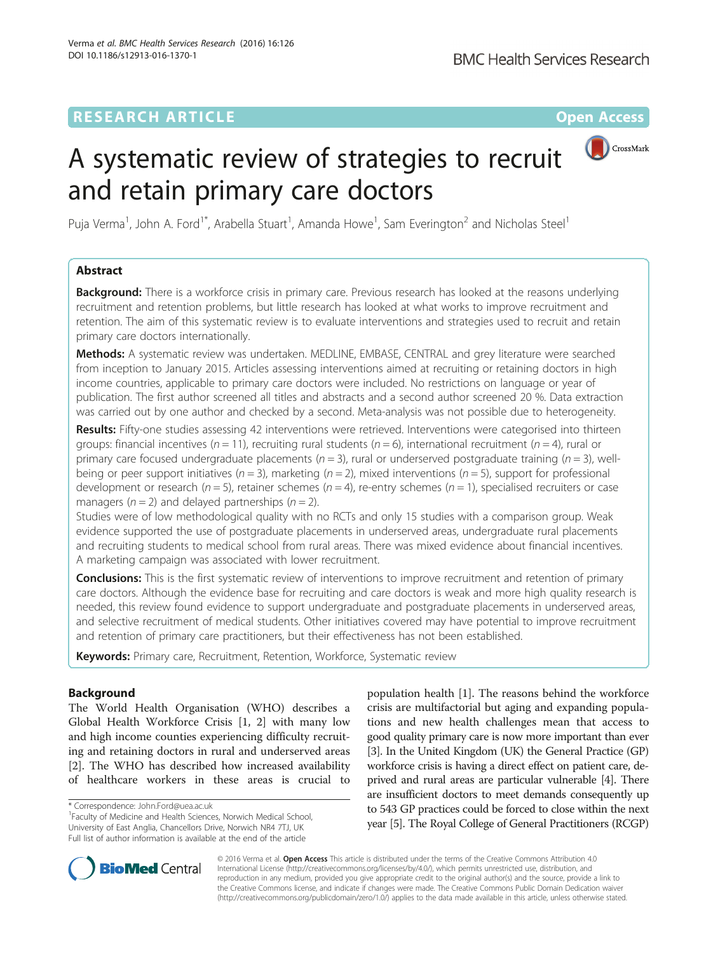# **RESEARCH ARTICLE External Structure Community Community Community Community Community Community Community Community**

CrossMark

# A systematic review of strategies to recruit and retain primary care doctors

Puja Verma<sup>1</sup>, John A. Ford<sup>1\*</sup>, Arabella Stuart<sup>1</sup>, Amanda Howe<sup>1</sup>, Sam Everington<sup>2</sup> and Nicholas Steel<sup>1</sup>

## Abstract

**Background:** There is a workforce crisis in primary care. Previous research has looked at the reasons underlying recruitment and retention problems, but little research has looked at what works to improve recruitment and retention. The aim of this systematic review is to evaluate interventions and strategies used to recruit and retain primary care doctors internationally.

Methods: A systematic review was undertaken. MEDLINE, EMBASE, CENTRAL and grey literature were searched from inception to January 2015. Articles assessing interventions aimed at recruiting or retaining doctors in high income countries, applicable to primary care doctors were included. No restrictions on language or year of publication. The first author screened all titles and abstracts and a second author screened 20 %. Data extraction was carried out by one author and checked by a second. Meta-analysis was not possible due to heterogeneity.

Results: Fifty-one studies assessing 42 interventions were retrieved. Interventions were categorised into thirteen groups: financial incentives ( $n = 11$ ), recruiting rural students ( $n = 6$ ), international recruitment ( $n = 4$ ), rural or primary care focused undergraduate placements ( $n = 3$ ), rural or underserved postgraduate training ( $n = 3$ ), wellbeing or peer support initiatives ( $n = 3$ ), marketing ( $n = 2$ ), mixed interventions ( $n = 5$ ), support for professional development or research ( $n = 5$ ), retainer schemes ( $n = 4$ ), re-entry schemes ( $n = 1$ ), specialised recruiters or case managers ( $n = 2$ ) and delayed partnerships ( $n = 2$ ).

Studies were of low methodological quality with no RCTs and only 15 studies with a comparison group. Weak evidence supported the use of postgraduate placements in underserved areas, undergraduate rural placements and recruiting students to medical school from rural areas. There was mixed evidence about financial incentives. A marketing campaign was associated with lower recruitment.

**Conclusions:** This is the first systematic review of interventions to improve recruitment and retention of primary care doctors. Although the evidence base for recruiting and care doctors is weak and more high quality research is needed, this review found evidence to support undergraduate and postgraduate placements in underserved areas, and selective recruitment of medical students. Other initiatives covered may have potential to improve recruitment and retention of primary care practitioners, but their effectiveness has not been established.

Keywords: Primary care, Recruitment, Retention, Workforce, Systematic review

## Background

The World Health Organisation (WHO) describes a Global Health Workforce Crisis [[1, 2\]](#page-23-0) with many low and high income counties experiencing difficulty recruiting and retaining doctors in rural and underserved areas [[2\]](#page-23-0). The WHO has described how increased availability of healthcare workers in these areas is crucial to

population health [[1](#page-23-0)]. The reasons behind the workforce crisis are multifactorial but aging and expanding populations and new health challenges mean that access to good quality primary care is now more important than ever [[3](#page-23-0)]. In the United Kingdom (UK) the General Practice (GP) workforce crisis is having a direct effect on patient care, deprived and rural areas are particular vulnerable [[4](#page-23-0)]. There are insufficient doctors to meet demands consequently up to 543 GP practices could be forced to close within the next year [\[5](#page-23-0)]. The Royal College of General Practitioners (RCGP)



© 2016 Verma et al. Open Access This article is distributed under the terms of the Creative Commons Attribution 4.0 International License [\(http://creativecommons.org/licenses/by/4.0/](http://creativecommons.org/licenses/by/4.0/)), which permits unrestricted use, distribution, and reproduction in any medium, provided you give appropriate credit to the original author(s) and the source, provide a link to the Creative Commons license, and indicate if changes were made. The Creative Commons Public Domain Dedication waiver [\(http://creativecommons.org/publicdomain/zero/1.0/](http://creativecommons.org/publicdomain/zero/1.0/)) applies to the data made available in this article, unless otherwise stated.

<sup>\*</sup> Correspondence: [John.Ford@uea.ac.uk](mailto:John.Ford@uea.ac.uk) <sup>1</sup>

<sup>&</sup>lt;sup>1</sup> Faculty of Medicine and Health Sciences, Norwich Medical School, University of East Anglia, Chancellors Drive, Norwich NR4 7TJ, UK Full list of author information is available at the end of the article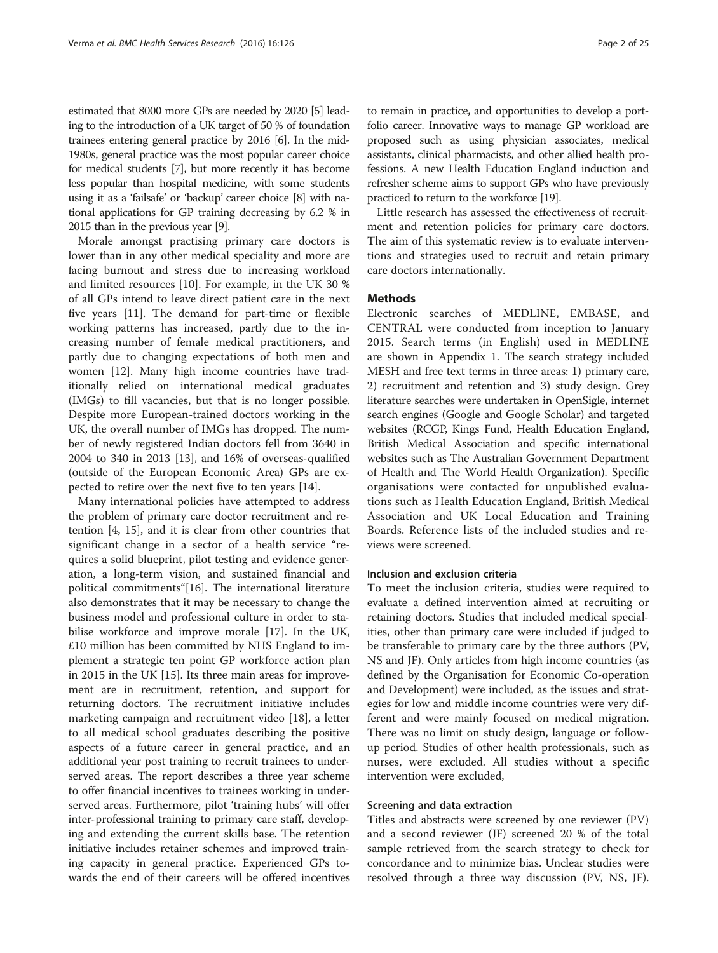estimated that 8000 more GPs are needed by 2020 [[5](#page-23-0)] leading to the introduction of a UK target of 50 % of foundation trainees entering general practice by 2016 [[6](#page-23-0)]. In the mid-1980s, general practice was the most popular career choice for medical students [\[7\]](#page-23-0), but more recently it has become less popular than hospital medicine, with some students using it as a 'failsafe' or 'backup' career choice [\[8\]](#page-23-0) with national applications for GP training decreasing by 6.2 % in 2015 than in the previous year [\[9\]](#page-23-0).

Morale amongst practising primary care doctors is lower than in any other medical speciality and more are facing burnout and stress due to increasing workload and limited resources [[10\]](#page-23-0). For example, in the UK 30 % of all GPs intend to leave direct patient care in the next five years [[11\]](#page-23-0). The demand for part-time or flexible working patterns has increased, partly due to the increasing number of female medical practitioners, and partly due to changing expectations of both men and women [\[12](#page-23-0)]. Many high income countries have traditionally relied on international medical graduates (IMGs) to fill vacancies, but that is no longer possible. Despite more European-trained doctors working in the UK, the overall number of IMGs has dropped. The number of newly registered Indian doctors fell from 3640 in 2004 to 340 in 2013 [\[13](#page-23-0)], and 16% of overseas-qualified (outside of the European Economic Area) GPs are expected to retire over the next five to ten years [[14\]](#page-23-0).

Many international policies have attempted to address the problem of primary care doctor recruitment and retention [[4, 15](#page-23-0)], and it is clear from other countries that significant change in a sector of a health service "requires a solid blueprint, pilot testing and evidence generation, a long-term vision, and sustained financial and political commitments"[[16\]](#page-23-0). The international literature also demonstrates that it may be necessary to change the business model and professional culture in order to stabilise workforce and improve morale [\[17\]](#page-23-0). In the UK, £10 million has been committed by NHS England to implement a strategic ten point GP workforce action plan in 2015 in the UK [[15](#page-23-0)]. Its three main areas for improvement are in recruitment, retention, and support for returning doctors. The recruitment initiative includes marketing campaign and recruitment video [[18\]](#page-23-0), a letter to all medical school graduates describing the positive aspects of a future career in general practice, and an additional year post training to recruit trainees to underserved areas. The report describes a three year scheme to offer financial incentives to trainees working in underserved areas. Furthermore, pilot 'training hubs' will offer inter-professional training to primary care staff, developing and extending the current skills base. The retention initiative includes retainer schemes and improved training capacity in general practice. Experienced GPs towards the end of their careers will be offered incentives to remain in practice, and opportunities to develop a portfolio career. Innovative ways to manage GP workload are proposed such as using physician associates, medical assistants, clinical pharmacists, and other allied health professions. A new Health Education England induction and refresher scheme aims to support GPs who have previously practiced to return to the workforce [\[19\]](#page-23-0).

Little research has assessed the effectiveness of recruitment and retention policies for primary care doctors. The aim of this systematic review is to evaluate interventions and strategies used to recruit and retain primary care doctors internationally.

#### **Methods**

Electronic searches of MEDLINE, EMBASE, and CENTRAL were conducted from inception to January 2015. Search terms (in English) used in MEDLINE are shown in [Appendix 1](#page-22-0). The search strategy included MESH and free text terms in three areas: 1) primary care, 2) recruitment and retention and 3) study design. Grey literature searches were undertaken in OpenSigle, internet search engines (Google and Google Scholar) and targeted websites (RCGP, Kings Fund, Health Education England, British Medical Association and specific international websites such as The Australian Government Department of Health and The World Health Organization). Specific organisations were contacted for unpublished evaluations such as Health Education England, British Medical Association and UK Local Education and Training Boards. Reference lists of the included studies and reviews were screened.

## Inclusion and exclusion criteria

To meet the inclusion criteria, studies were required to evaluate a defined intervention aimed at recruiting or retaining doctors. Studies that included medical specialities, other than primary care were included if judged to be transferable to primary care by the three authors (PV, NS and JF). Only articles from high income countries (as defined by the Organisation for Economic Co-operation and Development) were included, as the issues and strategies for low and middle income countries were very different and were mainly focused on medical migration. There was no limit on study design, language or followup period. Studies of other health professionals, such as nurses, were excluded. All studies without a specific intervention were excluded,

#### Screening and data extraction

Titles and abstracts were screened by one reviewer (PV) and a second reviewer (JF) screened 20 % of the total sample retrieved from the search strategy to check for concordance and to minimize bias. Unclear studies were resolved through a three way discussion (PV, NS, JF).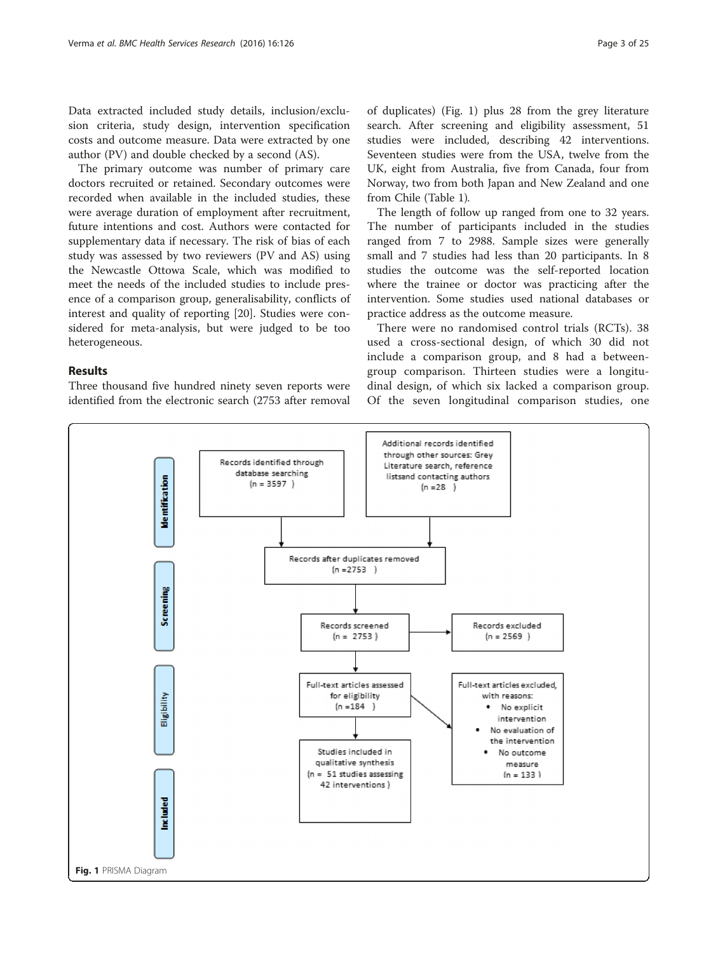Data extracted included study details, inclusion/exclusion criteria, study design, intervention specification costs and outcome measure. Data were extracted by one author (PV) and double checked by a second (AS).

The primary outcome was number of primary care doctors recruited or retained. Secondary outcomes were recorded when available in the included studies, these were average duration of employment after recruitment, future intentions and cost. Authors were contacted for supplementary data if necessary. The risk of bias of each study was assessed by two reviewers (PV and AS) using the Newcastle Ottowa Scale, which was modified to meet the needs of the included studies to include presence of a comparison group, generalisability, conflicts of interest and quality of reporting [\[20\]](#page-23-0). Studies were considered for meta-analysis, but were judged to be too heterogeneous.

#### Results

Three thousand five hundred ninety seven reports were identified from the electronic search (2753 after removal of duplicates) (Fig. 1) plus 28 from the grey literature search. After screening and eligibility assessment, 51 studies were included, describing 42 interventions. Seventeen studies were from the USA, twelve from the UK, eight from Australia, five from Canada, four from Norway, two from both Japan and New Zealand and one from Chile (Table [1](#page-3-0)).

The length of follow up ranged from one to 32 years. The number of participants included in the studies ranged from 7 to 2988. Sample sizes were generally small and 7 studies had less than 20 participants. In 8 studies the outcome was the self-reported location where the trainee or doctor was practicing after the intervention. Some studies used national databases or practice address as the outcome measure.

There were no randomised control trials (RCTs). 38 used a cross-sectional design, of which 30 did not include a comparison group, and 8 had a betweengroup comparison. Thirteen studies were a longitudinal design, of which six lacked a comparison group. Of the seven longitudinal comparison studies, one

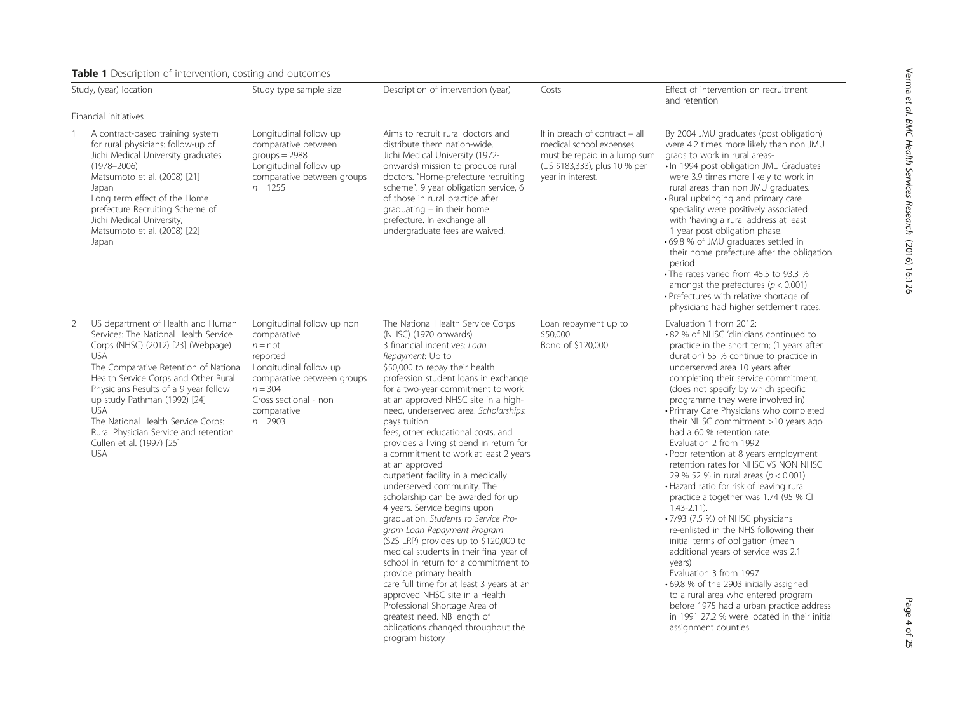<span id="page-3-0"></span>

|                | Study, (year) location                                                                                                                                                                                                                                                                                                                                                                                                           | Study type sample size                                                                                                                                                                        | Description of intervention (year)                                                                                                                                                                                                                                                                                                                                                                                                                                                                                                                                                                                                                                                                                                                                                                                                                                                                                                                                                                                                                      | Costs                                                                                                                                           | Effect of intervention on recruitment<br>and retention                                                                                                                                                                                                                                                                                                                                                                                                                                                                                                                                                                                                                                                                                                                                                                                                                                                                                                                                                                                                                                              |  |
|----------------|----------------------------------------------------------------------------------------------------------------------------------------------------------------------------------------------------------------------------------------------------------------------------------------------------------------------------------------------------------------------------------------------------------------------------------|-----------------------------------------------------------------------------------------------------------------------------------------------------------------------------------------------|---------------------------------------------------------------------------------------------------------------------------------------------------------------------------------------------------------------------------------------------------------------------------------------------------------------------------------------------------------------------------------------------------------------------------------------------------------------------------------------------------------------------------------------------------------------------------------------------------------------------------------------------------------------------------------------------------------------------------------------------------------------------------------------------------------------------------------------------------------------------------------------------------------------------------------------------------------------------------------------------------------------------------------------------------------|-------------------------------------------------------------------------------------------------------------------------------------------------|-----------------------------------------------------------------------------------------------------------------------------------------------------------------------------------------------------------------------------------------------------------------------------------------------------------------------------------------------------------------------------------------------------------------------------------------------------------------------------------------------------------------------------------------------------------------------------------------------------------------------------------------------------------------------------------------------------------------------------------------------------------------------------------------------------------------------------------------------------------------------------------------------------------------------------------------------------------------------------------------------------------------------------------------------------------------------------------------------------|--|
|                | Financial initiatives                                                                                                                                                                                                                                                                                                                                                                                                            |                                                                                                                                                                                               |                                                                                                                                                                                                                                                                                                                                                                                                                                                                                                                                                                                                                                                                                                                                                                                                                                                                                                                                                                                                                                                         |                                                                                                                                                 |                                                                                                                                                                                                                                                                                                                                                                                                                                                                                                                                                                                                                                                                                                                                                                                                                                                                                                                                                                                                                                                                                                     |  |
|                | A contract-based training system<br>for rural physicians: follow-up of<br>Jichi Medical University graduates<br>$(1978 - 2006)$<br>Matsumoto et al. (2008) [21]<br>Japan<br>Long term effect of the Home<br>prefecture Recruiting Scheme of<br>Jichi Medical University,<br>Matsumoto et al. (2008) [22]<br>Japan                                                                                                                | Longitudinal follow up<br>comparative between<br>$groups = 2988$<br>Longitudinal follow up<br>comparative between groups<br>$n = 1255$                                                        | Aims to recruit rural doctors and<br>distribute them nation-wide.<br>Jichi Medical University (1972-<br>onwards) mission to produce rural<br>doctors. "Home-prefecture recruiting<br>scheme". 9 year obligation service, 6<br>of those in rural practice after<br>graduating - in their home<br>prefecture. In exchange all<br>undergraduate fees are waived.                                                                                                                                                                                                                                                                                                                                                                                                                                                                                                                                                                                                                                                                                           | If in breach of contract - all<br>medical school expenses<br>must be repaid in a lump sum<br>(US \$183,333), plus 10 % per<br>year in interest. | By 2004 JMU graduates (post obligation)<br>were 4.2 times more likely than non JMU<br>grads to work in rural areas-<br>. In 1994 post obligation JMU Graduates<br>were 3.9 times more likely to work in<br>rural areas than non JMU graduates.<br>· Rural upbringing and primary care<br>speciality were positively associated<br>with 'having a rural address at least<br>1 year post obligation phase.<br>+69.8 % of JMU graduates settled in<br>their home prefecture after the obligation<br>period<br>• The rates varied from 45.5 to 93.3 %<br>amongst the prefectures ( $p < 0.001$ )<br>• Prefectures with relative shortage of<br>physicians had higher settlement rates.                                                                                                                                                                                                                                                                                                                                                                                                                  |  |
| $\overline{2}$ | US department of Health and Human<br>Services: The National Health Service<br>Corps (NHSC) (2012) [23] (Webpage)<br><b>USA</b><br>The Comparative Retention of National<br>Health Service Corps and Other Rural<br>Physicians Results of a 9 year follow<br>up study Pathman (1992) [24]<br><b>USA</b><br>The National Health Service Corps:<br>Rural Physician Service and retention<br>Cullen et al. (1997) [25]<br><b>USA</b> | Longitudinal follow up non<br>comparative<br>$n = not$<br>reported<br>Longitudinal follow up<br>comparative between groups<br>$n = 304$<br>Cross sectional - non<br>comparative<br>$n = 2903$ | The National Health Service Corps<br>(NHSC) (1970 onwards)<br>3 financial incentives: Loan<br>Repayment: Up to<br>\$50,000 to repay their health<br>profession student loans in exchange<br>for a two-year commitment to work<br>at an approved NHSC site in a high-<br>need, underserved area. Scholarships:<br>pays tuition<br>fees, other educational costs, and<br>provides a living stipend in return for<br>a commitment to work at least 2 years<br>at an approved<br>outpatient facility in a medically<br>underserved community. The<br>scholarship can be awarded for up<br>4 years. Service begins upon<br>graduation. Students to Service Pro-<br>gram Loan Repayment Program<br>(S2S LRP) provides up to \$120,000 to<br>medical students in their final year of<br>school in return for a commitment to<br>provide primary health<br>care full time for at least 3 years at an<br>approved NHSC site in a Health<br>Professional Shortage Area of<br>greatest need. NB length of<br>obligations changed throughout the<br>program history | Loan repayment up to<br>\$50,000<br>Bond of \$120,000                                                                                           | Evaluation 1 from 2012:<br>•82 % of NHSC 'clinicians continued to<br>practice in the short term; (1 years after<br>duration) 55 % continue to practice in<br>underserved area 10 years after<br>completing their service commitment.<br>(does not specify by which specific<br>programme they were involved in)<br>· Primary Care Physicians who completed<br>their NHSC commitment >10 years ago<br>had a 60 % retention rate.<br>Evaluation 2 from 1992<br>• Poor retention at 8 years employment<br>retention rates for NHSC VS NON NHSC<br>29 % 52 % in rural areas ( $p < 0.001$ )<br>• Hazard ratio for risk of leaving rural<br>practice altogether was 1.74 (95 % CI<br>$1.43 - 2.11$ .<br>• 7/93 (7.5 %) of NHSC physicians<br>re-enlisted in the NHS following their<br>initial terms of obligation (mean<br>additional years of service was 2.1<br>years)<br>Evaluation 3 from 1997<br>+69.8 % of the 2903 initially assigned<br>to a rural area who entered program<br>before 1975 had a urban practice address<br>in 1991 27.2 % were located in their initial<br>assignment counties. |  |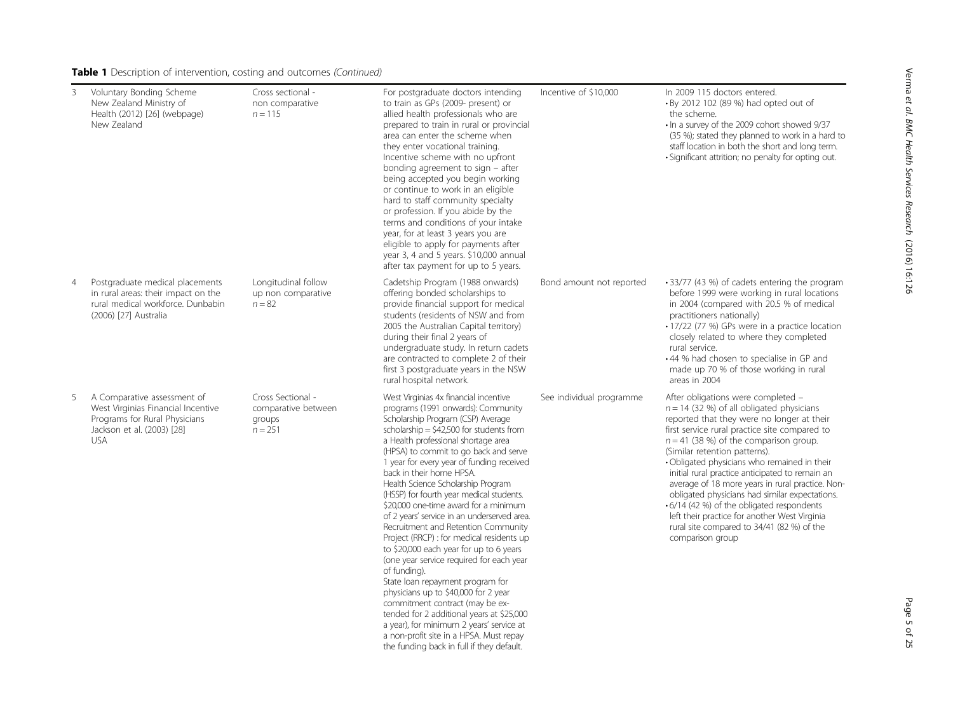| 3              | Voluntary Bonding Scheme<br>New Zealand Ministry of<br>Health (2012) [26] (webpage)<br>New Zealand                                             | Cross sectional -<br>non comparative<br>$n = 115$               | For postgraduate doctors intending<br>to train as GPs (2009- present) or<br>allied health professionals who are<br>prepared to train in rural or provincial<br>area can enter the scheme when<br>they enter vocational training.<br>Incentive scheme with no upfront<br>bonding agreement to sign - after<br>being accepted you begin working<br>or continue to work in an eligible<br>hard to staff community specialty<br>or profession. If you abide by the<br>terms and conditions of your intake<br>year, for at least 3 years you are<br>eligible to apply for payments after<br>year 3, 4 and 5 years. \$10,000 annual<br>after tax payment for up to 5 years.                                                                                                                                                                                                                                                                                                                       | Incentive of \$10,000    | In 2009 115 doctors entered.<br>• By 2012 102 (89 %) had opted out of<br>the scheme.<br>· In a survey of the 2009 cohort showed 9/37<br>(35 %); stated they planned to work in a hard to<br>staff location in both the short and long term.<br>· Significant attrition; no penalty for opting out.                                                                                                                                                                                                                                                                                                                                      |
|----------------|------------------------------------------------------------------------------------------------------------------------------------------------|-----------------------------------------------------------------|---------------------------------------------------------------------------------------------------------------------------------------------------------------------------------------------------------------------------------------------------------------------------------------------------------------------------------------------------------------------------------------------------------------------------------------------------------------------------------------------------------------------------------------------------------------------------------------------------------------------------------------------------------------------------------------------------------------------------------------------------------------------------------------------------------------------------------------------------------------------------------------------------------------------------------------------------------------------------------------------|--------------------------|-----------------------------------------------------------------------------------------------------------------------------------------------------------------------------------------------------------------------------------------------------------------------------------------------------------------------------------------------------------------------------------------------------------------------------------------------------------------------------------------------------------------------------------------------------------------------------------------------------------------------------------------|
| $\overline{4}$ | Postgraduate medical placements<br>in rural areas: their impact on the<br>rural medical workforce. Dunbabin<br>(2006) [27] Australia           | Longitudinal follow<br>up non comparative<br>$n = 82$           | Cadetship Program (1988 onwards)<br>offering bonded scholarships to<br>provide financial support for medical<br>students (residents of NSW and from<br>2005 the Australian Capital territory)<br>during their final 2 years of<br>undergraduate study. In return cadets<br>are contracted to complete 2 of their<br>first 3 postgraduate years in the NSW<br>rural hospital network.                                                                                                                                                                                                                                                                                                                                                                                                                                                                                                                                                                                                        | Bond amount not reported | • 33/77 (43 %) of cadets entering the program<br>before 1999 were working in rural locations<br>in 2004 (compared with 20.5 % of medical<br>practitioners nationally)<br>• 17/22 (77 %) GPs were in a practice location<br>closely related to where they completed<br>rural service.<br>• 44 % had chosen to specialise in GP and<br>made up 70 % of those working in rural<br>areas in 2004                                                                                                                                                                                                                                            |
| 5              | A Comparative assessment of<br>West Virginias Financial Incentive<br>Programs for Rural Physicians<br>Jackson et al. (2003) [28]<br><b>USA</b> | Cross Sectional -<br>comparative between<br>groups<br>$n = 251$ | West Virginias 4x financial incentive<br>programs (1991 onwards): Community<br>Scholarship Program (CSP) Average<br>scholarship = $$42,500$ for students from<br>a Health professional shortage area<br>(HPSA) to commit to go back and serve<br>1 year for every year of funding received<br>back in their home HPSA.<br>Health Science Scholarship Program<br>(HSSP) for fourth year medical students.<br>\$20,000 one-time award for a minimum<br>of 2 years' service in an underserved area.<br>Recruitment and Retention Community<br>Project (RRCP) : for medical residents up<br>to \$20,000 each year for up to 6 years<br>(one year service required for each year<br>of funding).<br>State loan repayment program for<br>physicians up to \$40,000 for 2 year<br>commitment contract (may be ex-<br>tended for 2 additional years at \$25,000<br>a year), for minimum 2 years' service at<br>a non-profit site in a HPSA. Must repay<br>the funding back in full if they default. | See individual programme | After obligations were completed -<br>$n = 14$ (32 %) of all obligated physicians<br>reported that they were no longer at their<br>first service rural practice site compared to<br>$n = 41$ (38 %) of the comparison group.<br>(Similar retention patterns).<br>• Obligated physicians who remained in their<br>initial rural practice anticipated to remain an<br>average of 18 more years in rural practice. Non-<br>obligated physicians had similar expectations.<br>• 6/14 (42 %) of the obligated respondents<br>left their practice for another West Virginia<br>rural site compared to 34/41 (82 %) of the<br>comparison group |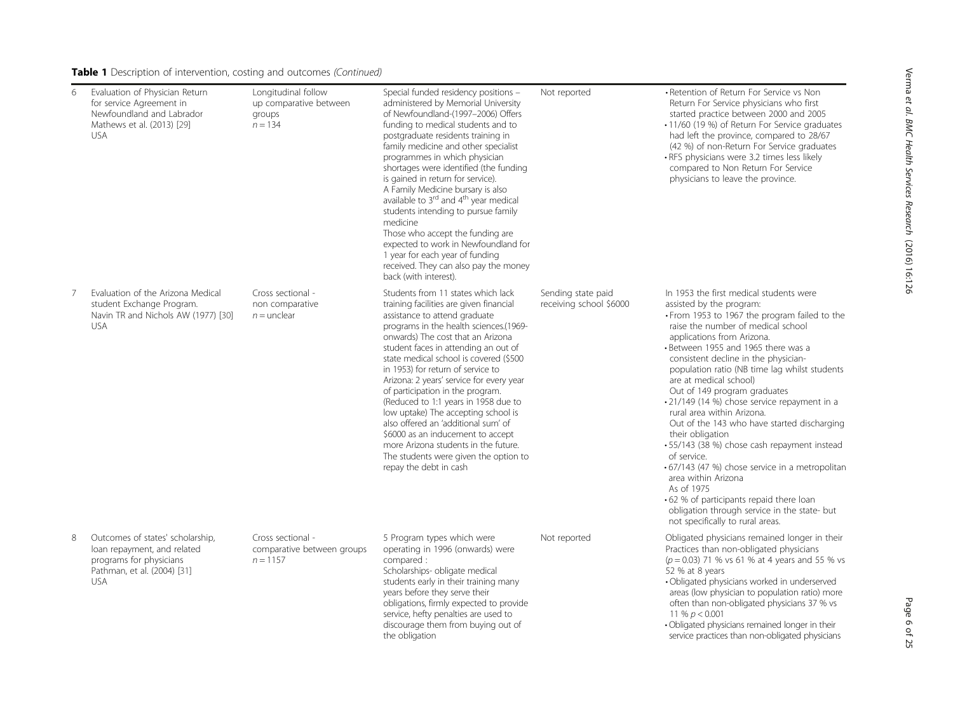| 6 | Evaluation of Physician Return<br>for service Agreement in<br>Newfoundland and Labrador<br>Mathews et al. (2013) [29]<br><b>USA</b>     | Longitudinal follow<br>up comparative between<br>groups<br>$n = 134$ | Special funded residency positions -<br>administered by Memorial University<br>of Newfoundland-(1997-2006) Offers<br>funding to medical students and to<br>postgraduate residents training in<br>family medicine and other specialist<br>programmes in which physician<br>shortages were identified (the funding<br>is gained in return for service).<br>A Family Medicine bursary is also<br>available to 3 <sup>rd</sup> and 4 <sup>th</sup> year medical<br>students intending to pursue family<br>medicine<br>Those who accept the funding are<br>expected to work in Newfoundland for<br>1 year for each year of funding<br>received. They can also pay the money<br>back (with interest). | Not reported                                  | • Retention of Return For Service vs Non<br>Return For Service physicians who first<br>started practice between 2000 and 2005<br>• 11/60 (19 %) of Return For Service graduates<br>had left the province, compared to 28/67<br>(42 %) of non-Return For Service graduates<br>· RFS physicians were 3.2 times less likely<br>compared to Non Return For Service<br>physicians to leave the province.                                                                                                                                                                                                                                                                                                                                                                                                                       |
|---|-----------------------------------------------------------------------------------------------------------------------------------------|----------------------------------------------------------------------|-------------------------------------------------------------------------------------------------------------------------------------------------------------------------------------------------------------------------------------------------------------------------------------------------------------------------------------------------------------------------------------------------------------------------------------------------------------------------------------------------------------------------------------------------------------------------------------------------------------------------------------------------------------------------------------------------|-----------------------------------------------|---------------------------------------------------------------------------------------------------------------------------------------------------------------------------------------------------------------------------------------------------------------------------------------------------------------------------------------------------------------------------------------------------------------------------------------------------------------------------------------------------------------------------------------------------------------------------------------------------------------------------------------------------------------------------------------------------------------------------------------------------------------------------------------------------------------------------|
| 7 | Evaluation of the Arizona Medical<br>student Exchange Program.<br>Navin TR and Nichols AW (1977) [30]<br><b>USA</b>                     | Cross sectional -<br>non comparative<br>$n =$ unclear                | Students from 11 states which lack<br>training facilities are given financial<br>assistance to attend graduate<br>programs in the health sciences.(1969-<br>onwards) The cost that an Arizona<br>student faces in attending an out of<br>state medical school is covered (\$500<br>in 1953) for return of service to<br>Arizona: 2 years' service for every year<br>of participation in the program.<br>(Reduced to 1:1 years in 1958 due to<br>low uptake) The accepting school is<br>also offered an 'additional sum' of<br>\$6000 as an inducement to accept<br>more Arizona students in the future.<br>The students were given the option to<br>repay the debt in cash                      | Sending state paid<br>receiving school \$6000 | In 1953 the first medical students were<br>assisted by the program:<br>• From 1953 to 1967 the program failed to the<br>raise the number of medical school<br>applications from Arizona.<br>· Between 1955 and 1965 there was a<br>consistent decline in the physician-<br>population ratio (NB time lag whilst students<br>are at medical school)<br>Out of 149 program graduates<br>· 21/149 (14 %) chose service repayment in a<br>rural area within Arizona.<br>Out of the 143 who have started discharging<br>their obligation<br>• 55/143 (38 %) chose cash repayment instead<br>of service.<br>• 67/143 (47 %) chose service in a metropolitan<br>area within Arizona<br>As of 1975<br>.62 % of participants repaid there loan<br>obligation through service in the state- but<br>not specifically to rural areas. |
| 8 | Outcomes of states' scholarship,<br>loan repayment, and related<br>programs for physicians<br>Pathman, et al. (2004) [31]<br><b>USA</b> | Cross sectional -<br>comparative between groups<br>$n = 1157$        | 5 Program types which were<br>operating in 1996 (onwards) were<br>compared :<br>Scholarships- obligate medical<br>students early in their training many<br>years before they serve their<br>obligations, firmly expected to provide<br>service, hefty penalties are used to<br>discourage them from buying out of<br>the obligation                                                                                                                                                                                                                                                                                                                                                             | Not reported                                  | Obligated physicians remained longer in their<br>Practices than non-obligated physicians<br>( $p = 0.03$ ) 71 % vs 61 % at 4 years and 55 % vs<br>52 % at 8 years<br>· Obligated physicians worked in underserved<br>areas (low physician to population ratio) more<br>often than non-obligated physicians 37 % vs<br>11 % $p < 0.001$<br>· Obligated physicians remained longer in their<br>service practices than non-obligated physicians                                                                                                                                                                                                                                                                                                                                                                              |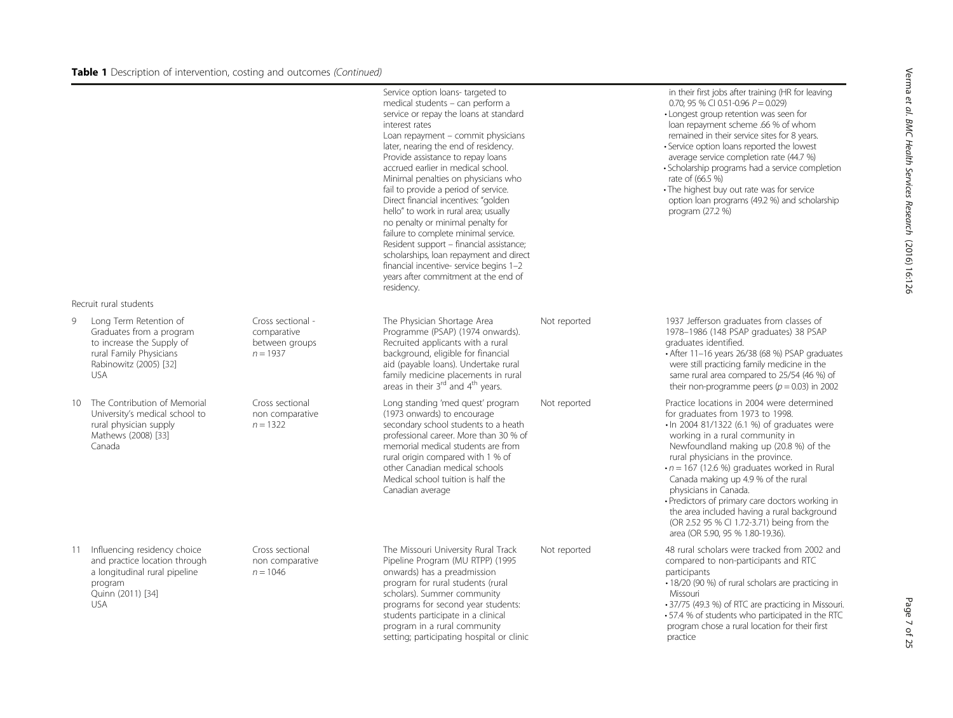|    |                                                                                                                                                    |                                                                  | Service option loans-targeted to<br>medical students - can perform a<br>service or repay the loans at standard<br>interest rates<br>Loan repayment - commit physicians<br>later, nearing the end of residency.<br>Provide assistance to repay loans<br>accrued earlier in medical school.<br>Minimal penalties on physicians who<br>fail to provide a period of service.<br>Direct financial incentives: "golden<br>hello" to work in rural area; usually<br>no penalty or minimal penalty for<br>failure to complete minimal service.<br>Resident support - financial assistance;<br>scholarships, loan repayment and direct<br>financial incentive- service begins 1-2<br>years after commitment at the end of<br>residency. |              | in their first jobs after training (HR for leaving<br>0.70; 95 % CI 0.51-0.96 $P = 0.029$ )<br>• Longest group retention was seen for<br>loan repayment scheme .66 % of whom<br>remained in their service sites for 8 years.<br>· Service option loans reported the lowest<br>average service completion rate (44.7 %)<br>· Scholarship programs had a service completion<br>rate of (66.5 %)<br>• The highest buy out rate was for service<br>option loan programs (49.2 %) and scholarship<br>program (27.2 %)                                          |
|----|----------------------------------------------------------------------------------------------------------------------------------------------------|------------------------------------------------------------------|--------------------------------------------------------------------------------------------------------------------------------------------------------------------------------------------------------------------------------------------------------------------------------------------------------------------------------------------------------------------------------------------------------------------------------------------------------------------------------------------------------------------------------------------------------------------------------------------------------------------------------------------------------------------------------------------------------------------------------|--------------|-----------------------------------------------------------------------------------------------------------------------------------------------------------------------------------------------------------------------------------------------------------------------------------------------------------------------------------------------------------------------------------------------------------------------------------------------------------------------------------------------------------------------------------------------------------|
|    | Recruit rural students                                                                                                                             |                                                                  |                                                                                                                                                                                                                                                                                                                                                                                                                                                                                                                                                                                                                                                                                                                                |              |                                                                                                                                                                                                                                                                                                                                                                                                                                                                                                                                                           |
| 9  | Long Term Retention of<br>Graduates from a program<br>to increase the Supply of<br>rural Family Physicians<br>Rabinowitz (2005) [32]<br><b>USA</b> | Cross sectional -<br>comparative<br>between groups<br>$n = 1937$ | The Physician Shortage Area<br>Programme (PSAP) (1974 onwards).<br>Recruited applicants with a rural<br>background, eligible for financial<br>aid (payable loans). Undertake rural<br>family medicine placements in rural<br>areas in their 3rd and 4 <sup>th</sup> years.                                                                                                                                                                                                                                                                                                                                                                                                                                                     | Not reported | 1937 Jefferson graduates from classes of<br>1978-1986 (148 PSAP graduates) 38 PSAP<br>graduates identified.<br>• After 11-16 years 26/38 (68 %) PSAP graduates<br>were still practicing family medicine in the<br>same rural area compared to 25/54 (46 %) of<br>their non-programme peers ( $p = 0.03$ ) in 2002                                                                                                                                                                                                                                         |
| 10 | The Contribution of Memorial<br>University's medical school to<br>rural physician supply<br>Mathews (2008) [33]<br>Canada                          | Cross sectional<br>non comparative<br>$n = 1322$                 | Long standing 'med quest' program<br>(1973 onwards) to encourage<br>secondary school students to a heath<br>professional career. More than 30 % of<br>memorial medical students are from<br>rural origin compared with 1 % of<br>other Canadian medical schools<br>Medical school tuition is half the<br>Canadian average                                                                                                                                                                                                                                                                                                                                                                                                      | Not reported | Practice locations in 2004 were determined<br>for graduates from 1973 to 1998.<br>. In 2004 81/1322 (6.1 %) of graduates were<br>working in a rural community in<br>Newfoundland making up (20.8 %) of the<br>rural physicians in the province.<br>$\cdot$ n = 167 (12.6 %) graduates worked in Rural<br>Canada making up 4.9 % of the rural<br>physicians in Canada.<br>· Predictors of primary care doctors working in<br>the area included having a rural background<br>(OR 2.52 95 % CI 1.72-3.71) being from the<br>area (OR 5.90, 95 % 1.80-19.36). |
| 11 | Influencing residency choice<br>and practice location through<br>a longitudinal rural pipeline<br>program<br>Quinn (2011) [34]<br><b>USA</b>       | Cross sectional<br>non comparative<br>$n = 1046$                 | The Missouri University Rural Track<br>Pipeline Program (MU RTPP) (1995<br>onwards) has a preadmission<br>program for rural students (rural<br>scholars). Summer community<br>programs for second year students:<br>students participate in a clinical<br>program in a rural community<br>setting; participating hospital or clinic                                                                                                                                                                                                                                                                                                                                                                                            | Not reported | 48 rural scholars were tracked from 2002 and<br>compared to non-participants and RTC<br>participants<br>• 18/20 (90 %) of rural scholars are practicing in<br>Missouri<br>• 37/75 (49.3 %) of RTC are practicing in Missouri.<br>.57.4 % of students who participated in the RTC<br>program chose a rural location for their first<br>practice                                                                                                                                                                                                            |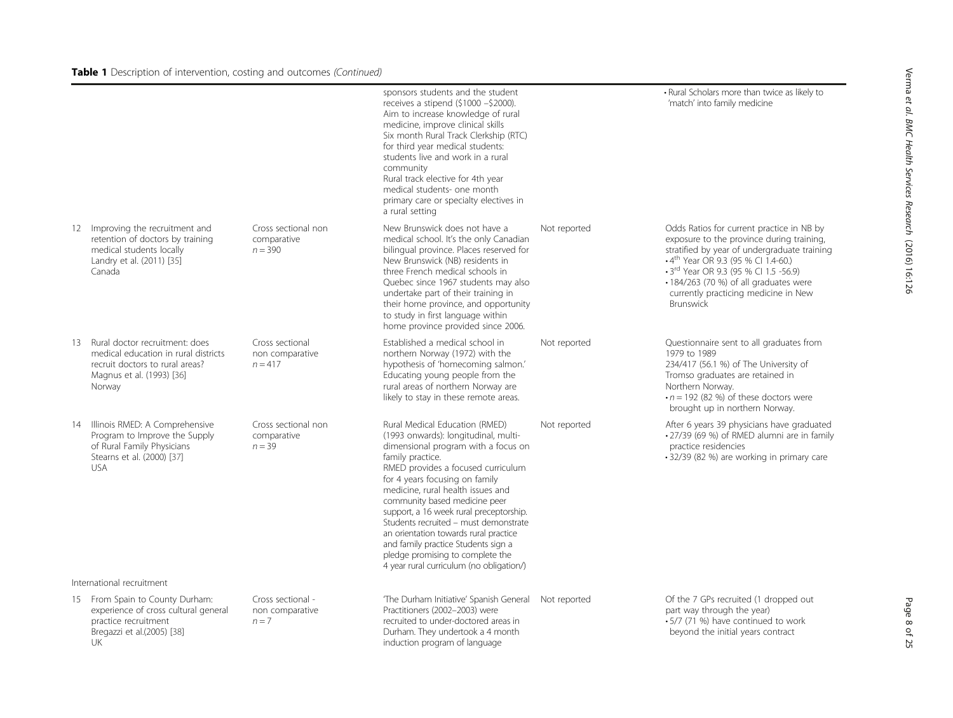|    |                                                                                                                                                     |                                                 | sponsors students and the student<br>receives a stipend $(51000 - 52000)$ .<br>Aim to increase knowledge of rural<br>medicine, improve clinical skills<br>Six month Rural Track Clerkship (RTC)<br>for third year medical students:<br>students live and work in a rural<br>community<br>Rural track elective for 4th year<br>medical students- one month<br>primary care or specialty electives in<br>a rural setting                                                                                                              |              | • Rural Scholars more than twice as likely to<br>'match' into family medicine                                                                                                                                                                                                                                                            |
|----|-----------------------------------------------------------------------------------------------------------------------------------------------------|-------------------------------------------------|-------------------------------------------------------------------------------------------------------------------------------------------------------------------------------------------------------------------------------------------------------------------------------------------------------------------------------------------------------------------------------------------------------------------------------------------------------------------------------------------------------------------------------------|--------------|------------------------------------------------------------------------------------------------------------------------------------------------------------------------------------------------------------------------------------------------------------------------------------------------------------------------------------------|
| 12 | Improving the recruitment and<br>retention of doctors by training<br>medical students locally<br>Landry et al. (2011) [35]<br>Canada                | Cross sectional non<br>comparative<br>$n = 390$ | New Brunswick does not have a<br>medical school. It's the only Canadian<br>bilingual province. Places reserved for<br>New Brunswick (NB) residents in<br>three French medical schools in<br>Quebec since 1967 students may also<br>undertake part of their training in<br>their home province, and opportunity<br>to study in first language within<br>home province provided since 2006.                                                                                                                                           | Not reported | Odds Ratios for current practice in NB by<br>exposure to the province during training,<br>stratified by year of undergraduate training<br>• 4 <sup>th</sup> Year OR 9.3 (95 % Cl 1.4-60.)<br>• 3rd Year OR 9.3 (95 % Cl 1.5 -56.9)<br>• 184/263 (70 %) of all graduates were<br>currently practicing medicine in New<br><b>Brunswick</b> |
|    | 13 Rural doctor recruitment: does<br>medical education in rural districts<br>recruit doctors to rural areas?<br>Magnus et al. (1993) [36]<br>Norway | Cross sectional<br>non comparative<br>$n = 417$ | Established a medical school in<br>northern Norway (1972) with the<br>hypothesis of 'homecoming salmon.'<br>Educating young people from the<br>rural areas of northern Norway are<br>likely to stay in these remote areas.                                                                                                                                                                                                                                                                                                          | Not reported | Questionnaire sent to all graduates from<br>1979 to 1989<br>234/417 (56.1 %) of The University of<br>Tromso graduates are retained in<br>Northern Norway.<br>$\cdot$ n = 192 (82 %) of these doctors were<br>brought up in northern Norway.                                                                                              |
|    | 14 Illinois RMED: A Comprehensive<br>Program to Improve the Supply<br>of Rural Family Physicians<br>Stearns et al. (2000) [37]<br><b>USA</b>        | Cross sectional non<br>comparative<br>$n = 39$  | Rural Medical Education (RMED)<br>(1993 onwards): longitudinal, multi-<br>dimensional program with a focus on<br>family practice.<br>RMED provides a focused curriculum<br>for 4 years focusing on family<br>medicine, rural health issues and<br>community based medicine peer<br>support, a 16 week rural preceptorship.<br>Students recruited - must demonstrate<br>an orientation towards rural practice<br>and family practice Students sign a<br>pledge promising to complete the<br>4 year rural curriculum (no obligation/) | Not reported | After 6 years 39 physicians have graduated<br>· 27/39 (69 %) of RMED alumni are in family<br>practice residencies<br>• 32/39 (82 %) are working in primary care                                                                                                                                                                          |
|    | International recruitment                                                                                                                           |                                                 |                                                                                                                                                                                                                                                                                                                                                                                                                                                                                                                                     |              |                                                                                                                                                                                                                                                                                                                                          |
|    | 15 From Spain to County Durham:<br>experience of cross cultural general<br>practice recruitment<br>Bregazzi et al.(2005) [38]<br>UK                 | Cross sectional -<br>non comparative<br>$n = 7$ | The Durham Initiative' Spanish General<br>Practitioners (2002-2003) were<br>recruited to under-doctored areas in<br>Durham. They undertook a 4 month<br>induction program of language                                                                                                                                                                                                                                                                                                                                               | Not reported | Of the 7 GPs recruited (1 dropped out<br>part way through the year)<br>• 5/7 (71 %) have continued to work<br>beyond the initial years contract                                                                                                                                                                                          |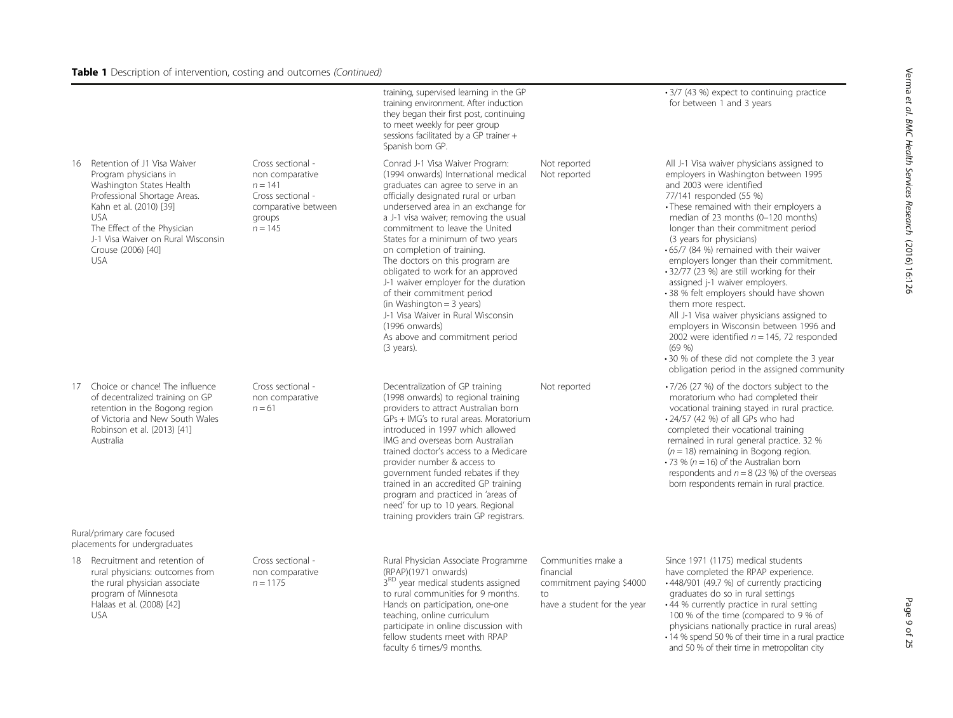|    |                                                                                                                                                                                                                                                                    |                                                                                                                      | training, supervised learning in the GP<br>training environment. After induction<br>they began their first post, continuing<br>to meet weekly for peer group<br>sessions facilitated by a GP trainer +<br>Spanish born GP.                                                                                                                                                                                                                                                                                                                                                                                                      |                                                                                                  | • 3/7 (43 %) expect to continuing practice<br>for between 1 and 3 years                                                                                                                                                                                                                                                                                                                                                                                                                                                                                                                                                                                                                                                                                                               |
|----|--------------------------------------------------------------------------------------------------------------------------------------------------------------------------------------------------------------------------------------------------------------------|----------------------------------------------------------------------------------------------------------------------|---------------------------------------------------------------------------------------------------------------------------------------------------------------------------------------------------------------------------------------------------------------------------------------------------------------------------------------------------------------------------------------------------------------------------------------------------------------------------------------------------------------------------------------------------------------------------------------------------------------------------------|--------------------------------------------------------------------------------------------------|---------------------------------------------------------------------------------------------------------------------------------------------------------------------------------------------------------------------------------------------------------------------------------------------------------------------------------------------------------------------------------------------------------------------------------------------------------------------------------------------------------------------------------------------------------------------------------------------------------------------------------------------------------------------------------------------------------------------------------------------------------------------------------------|
| 16 | Retention of J1 Visa Waiver<br>Program physicians in<br>Washington States Health<br>Professional Shortage Areas.<br>Kahn et al. (2010) [39]<br><b>USA</b><br>The Effect of the Physician<br>J-1 Visa Waiver on Rural Wisconsin<br>Crouse (2006) [40]<br><b>USA</b> | Cross sectional -<br>non comparative<br>$n = 141$<br>Cross sectional -<br>comparative between<br>groups<br>$n = 145$ | Conrad J-1 Visa Waiver Program:<br>(1994 onwards) International medical<br>graduates can agree to serve in an<br>officially designated rural or urban<br>underserved area in an exchange for<br>a J-1 visa waiver; removing the usual<br>commitment to leave the United<br>States for a minimum of two years<br>on completion of training.<br>The doctors on this program are<br>obligated to work for an approved<br>J-1 waiver employer for the duration<br>of their commitment period<br>(in Washington = $3$ years)<br>J-1 Visa Waiver in Rural Wisconsin<br>(1996 onwards)<br>As above and commitment period<br>(3 years). | Not reported<br>Not reported                                                                     | All J-1 Visa waiver physicians assigned to<br>employers in Washington between 1995<br>and 2003 were identified<br>77/141 responded (55 %)<br>• These remained with their employers a<br>median of 23 months (0-120 months)<br>longer than their commitment period<br>(3 years for physicians)<br>• 65/7 (84 %) remained with their waiver<br>employers longer than their commitment.<br>• 32/77 (23 %) are still working for their<br>assigned j-1 waiver employers.<br>• 38 % felt employers should have shown<br>them more respect.<br>All J-1 Visa waiver physicians assigned to<br>employers in Wisconsin between 1996 and<br>2002 were identified $n = 145$ , 72 responded<br>(69%<br>• 30 % of these did not complete the 3 year<br>obligation period in the assigned community |
|    | 17 Choice or chance! The influence<br>of decentralized training on GP<br>retention in the Bogong region<br>of Victoria and New South Wales<br>Robinson et al. (2013) [41]<br>Australia                                                                             | Cross sectional -<br>non comparative<br>$n = 61$                                                                     | Decentralization of GP training<br>(1998 onwards) to regional training<br>providers to attract Australian born<br>GPs + IMG's to rural areas. Moratorium<br>introduced in 1997 which allowed<br>IMG and overseas born Australian<br>trained doctor's access to a Medicare<br>provider number & access to<br>government funded rebates if they<br>trained in an accredited GP training<br>program and practiced in 'areas of<br>need' for up to 10 years. Regional<br>training providers train GP registrars.                                                                                                                    | Not reported                                                                                     | •7/26 (27 %) of the doctors subject to the<br>moratorium who had completed their<br>vocational training stayed in rural practice.<br>• 24/57 (42 %) of all GPs who had<br>completed their vocational training<br>remained in rural general practice. 32 %<br>$(n = 18)$ remaining in Bogong region.<br>$\cdot$ 73 % ( $n = 16$ ) of the Australian born<br>respondents and $n = 8$ (23 %) of the overseas<br>born respondents remain in rural practice.                                                                                                                                                                                                                                                                                                                               |
|    | Rural/primary care focused<br>placements for undergraduates                                                                                                                                                                                                        |                                                                                                                      |                                                                                                                                                                                                                                                                                                                                                                                                                                                                                                                                                                                                                                 |                                                                                                  |                                                                                                                                                                                                                                                                                                                                                                                                                                                                                                                                                                                                                                                                                                                                                                                       |
|    | 18 Recruitment and retention of<br>rural physicians: outcomes from<br>the rural physician associate<br>program of Minnesota<br>Halaas et al. (2008) [42]<br><b>USA</b>                                                                                             | Cross sectional -<br>non comparative<br>$n = 1175$                                                                   | Rural Physician Associate Programme<br>(RPAP)(1971 onwards)<br>3 <sup>RD</sup> year medical students assigned<br>to rural communities for 9 months.<br>Hands on participation, one-one<br>teaching, online curriculum<br>participate in online discussion with<br>fellow students meet with RPAP<br>faculty 6 times/9 months.                                                                                                                                                                                                                                                                                                   | Communities make a<br>financial<br>commitment paying \$4000<br>to<br>have a student for the year | Since 1971 (1175) medical students<br>have completed the RPAP experience.<br>+448/901 (49.7 %) of currently practicing<br>graduates do so in rural settings<br>+44 % currently practice in rural setting<br>100 % of the time (compared to 9 % of<br>physicians nationally practice in rural areas)<br>• 14 % spend 50 % of their time in a rural practice<br>and 50 % of their time in metropolitan city                                                                                                                                                                                                                                                                                                                                                                             |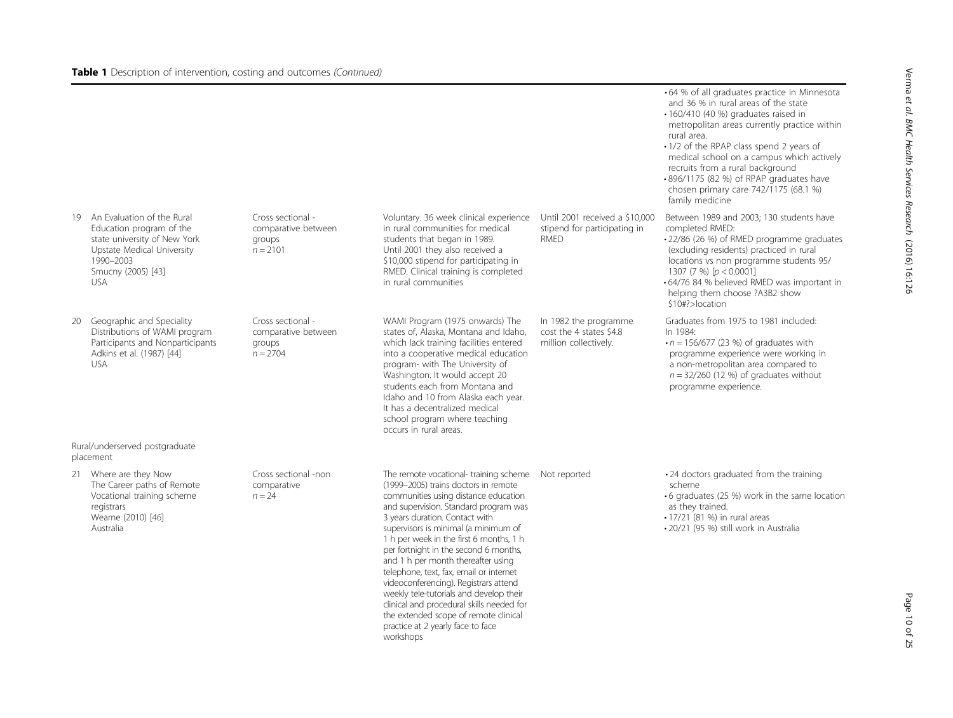|                                                                                                                                                                          |                                                                  |                                                                                                                                                                                                                                                                                                                                                                                                                                                                                                                                                                                                                                           |                                                                               | •64 % of all graduates practice in Minnesota<br>and 36 % in rural areas of the state<br>· 160/410 (40 %) graduates raised in<br>metropolitan areas currently practice within<br>rural area.<br>• 1/2 of the RPAP class spend 2 years of<br>medical school on a campus which actively<br>recruits from a rural background<br>•896/1175 (82 %) of RPAP graduates have<br>chosen primary care 742/1175 (68.1 %)<br>family medicine |
|--------------------------------------------------------------------------------------------------------------------------------------------------------------------------|------------------------------------------------------------------|-------------------------------------------------------------------------------------------------------------------------------------------------------------------------------------------------------------------------------------------------------------------------------------------------------------------------------------------------------------------------------------------------------------------------------------------------------------------------------------------------------------------------------------------------------------------------------------------------------------------------------------------|-------------------------------------------------------------------------------|---------------------------------------------------------------------------------------------------------------------------------------------------------------------------------------------------------------------------------------------------------------------------------------------------------------------------------------------------------------------------------------------------------------------------------|
| 19 An Evaluation of the Rural<br>Education program of the<br>state university of New York<br>Upstate Medical University<br>1990-2003<br>Smucny (2005) [43]<br><b>USA</b> | Cross sectional -<br>comparative between<br>groups<br>$n = 2101$ | Voluntary. 36 week clinical experience<br>in rural communities for medical<br>students that began in 1989.<br>Until 2001 they also received a<br>\$10,000 stipend for participating in<br>RMED. Clinical training is completed<br>in rural communities                                                                                                                                                                                                                                                                                                                                                                                    | Until 2001 received a \$10,000<br>stipend for participating in<br><b>RMED</b> | Between 1989 and 2003; 130 students have<br>completed RMED:<br>· 22/86 (26 %) of RMED programme graduates<br>(excluding residents) practiced in rural<br>locations vs non programme students 95/<br>1307 (7 %) $[p < 0.0001]$<br>+64/76 84 % believed RMED was important in<br>helping them choose ?A3B2 show<br>\$10#?>location                                                                                                |
| 20 Geographic and Speciality<br>Distributions of WAMI program<br>Participants and Nonparticipants<br>Adkins et al. (1987) [44]<br><b>USA</b>                             | Cross sectional -<br>comparative between<br>groups<br>$n = 2704$ | WAMI Program (1975 onwards) The<br>states of, Alaska, Montana and Idaho,<br>which lack training facilities entered<br>into a cooperative medical education<br>program- with The University of<br>Washington. It would accept 20<br>students each from Montana and<br>Idaho and 10 from Alaska each year.<br>It has a decentralized medical<br>school program where teaching<br>occurs in rural areas.                                                                                                                                                                                                                                     | In 1982 the programme<br>cost the 4 states \$4.8<br>million collectively.     | Graduates from 1975 to 1981 included:<br>In 1984:<br>$\cdot$ n = 156/677 (23 %) of graduates with<br>programme experience were working in<br>a non-metropolitan area compared to<br>$n = 32/260$ (12 %) of graduates without<br>programme experience.                                                                                                                                                                           |
| Rural/underserved postgraduate<br>placement                                                                                                                              |                                                                  |                                                                                                                                                                                                                                                                                                                                                                                                                                                                                                                                                                                                                                           |                                                                               |                                                                                                                                                                                                                                                                                                                                                                                                                                 |
| 21 Where are they Now<br>The Career paths of Remote<br>Vocational training scheme<br>registrars<br>Wearne (2010) [46]<br>Australia                                       | Cross sectional -non<br>comparative<br>$n = 24$                  | The remote vocational-training scheme<br>(1999–2005) trains doctors in remote<br>communities using distance education<br>and supervision. Standard program was<br>3 years duration. Contact with<br>supervisors is minimal (a minimum of<br>1 h per week in the first 6 months, 1 h<br>per fortnight in the second 6 months,<br>and 1 h per month thereafter using<br>telephone, text, fax, email or internet<br>videoconferencing). Registrars attend<br>weekly tele-tutorials and develop their<br>clinical and procedural skills needed for<br>the extended scope of remote clinical<br>practice at 2 yearly face to face<br>workshops | Not reported                                                                  | •24 doctors graduated from the training<br>scheme<br>•6 graduates (25 %) work in the same location<br>as they trained.<br>$\cdot$ 17/21 (81 %) in rural areas<br>• 20/21 (95 %) still work in Australia                                                                                                                                                                                                                         |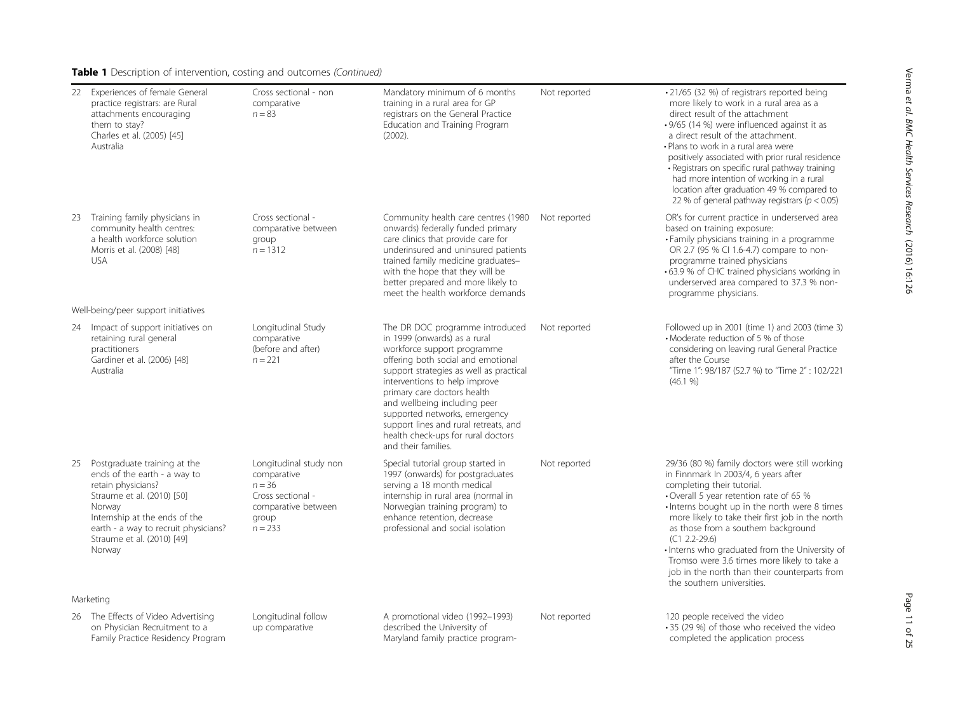|    | Experiences of female General<br>practice registrars: are Rural<br>attachments encouraging<br>them to stay?<br>Charles et al. (2005) [45]<br>Australia                                                                                      | Cross sectional - non<br>comparative<br>$n = 83$                                                                    | Mandatory minimum of 6 months<br>training in a rural area for GP<br>registrars on the General Practice<br>Education and Training Program<br>(2002).                                                                                                                                                                                                                                                                    | Not reported | · 21/65 (32 %) of registrars reported being<br>more likely to work in a rural area as a<br>direct result of the attachment<br>• 9/65 (14 %) were influenced against it as<br>a direct result of the attachment.<br>• Plans to work in a rural area were<br>positively associated with prior rural residence<br>· Registrars on specific rural pathway training<br>had more intention of working in a rural<br>location after graduation 49 % compared to<br>22 % of general pathway registrars ( $p < 0.05$ )   |
|----|---------------------------------------------------------------------------------------------------------------------------------------------------------------------------------------------------------------------------------------------|---------------------------------------------------------------------------------------------------------------------|------------------------------------------------------------------------------------------------------------------------------------------------------------------------------------------------------------------------------------------------------------------------------------------------------------------------------------------------------------------------------------------------------------------------|--------------|-----------------------------------------------------------------------------------------------------------------------------------------------------------------------------------------------------------------------------------------------------------------------------------------------------------------------------------------------------------------------------------------------------------------------------------------------------------------------------------------------------------------|
| 23 | Training family physicians in<br>community health centres:<br>a health workforce solution<br>Morris et al. (2008) [48]<br><b>USA</b>                                                                                                        | Cross sectional -<br>comparative between<br>group<br>$n = 1312$                                                     | Community health care centres (1980<br>onwards) federally funded primary<br>care clinics that provide care for<br>underinsured and uninsured patients<br>trained family medicine graduates-<br>with the hope that they will be<br>better prepared and more likely to<br>meet the health workforce demands                                                                                                              | Not reported | OR's for current practice in underserved area<br>based on training exposure:<br>• Family physicians training in a programme<br>OR 2.7 (95 % Cl 1.6-4.7) compare to non-<br>programme trained physicians<br>+63.9 % of CHC trained physicians working in<br>underserved area compared to 37.3 % non-<br>programme physicians.                                                                                                                                                                                    |
|    | Well-being/peer support initiatives                                                                                                                                                                                                         |                                                                                                                     |                                                                                                                                                                                                                                                                                                                                                                                                                        |              |                                                                                                                                                                                                                                                                                                                                                                                                                                                                                                                 |
|    | 24 Impact of support initiatives on<br>retaining rural general<br>practitioners<br>Gardiner et al. (2006) [48]<br>Australia                                                                                                                 | Longitudinal Study<br>comparative<br>(before and after)<br>$n = 221$                                                | The DR DOC programme introduced<br>in 1999 (onwards) as a rural<br>workforce support programme<br>offering both social and emotional<br>support strategies as well as practical<br>interventions to help improve<br>primary care doctors health<br>and wellbeing including peer<br>supported networks, emergency<br>support lines and rural retreats, and<br>health check-ups for rural doctors<br>and their families. | Not reported | Followed up in 2001 (time 1) and 2003 (time 3)<br>• Moderate reduction of 5 % of those<br>considering on leaving rural General Practice<br>after the Course<br>"Time 1": 98/187 (52.7 %) to "Time 2" : 102/221<br>(46.1 %)                                                                                                                                                                                                                                                                                      |
| 25 | Postgraduate training at the<br>ends of the earth - a way to<br>retain physicians?<br>Straume et al. (2010) [50]<br>Norway<br>Internship at the ends of the<br>earth - a way to recruit physicians?<br>Straume et al. (2010) [49]<br>Norway | Longitudinal study non<br>comparative<br>$n = 36$<br>Cross sectional -<br>comparative between<br>group<br>$n = 233$ | Special tutorial group started in<br>1997 (onwards) for postgraduates<br>serving a 18 month medical<br>internship in rural area (normal in<br>Norwegian training program) to<br>enhance retention, decrease<br>professional and social isolation                                                                                                                                                                       | Not reported | 29/36 (80 %) family doctors were still working<br>in Finnmark In 2003/4, 6 years after<br>completing their tutorial.<br>•Overall 5 year retention rate of 65 %<br>· Interns bought up in the north were 8 times<br>more likely to take their first job in the north<br>as those from a southern background<br>$(C1 2.2 - 29.6)$<br>· Interns who graduated from the University of<br>Tromso were 3.6 times more likely to take a<br>job in the north than their counterparts from<br>the southern universities. |
|    | Marketing                                                                                                                                                                                                                                   |                                                                                                                     |                                                                                                                                                                                                                                                                                                                                                                                                                        |              |                                                                                                                                                                                                                                                                                                                                                                                                                                                                                                                 |
|    | 26 The Effects of Video Advertising<br>on Physician Recruitment to a<br>Family Practice Residency Program                                                                                                                                   | Longitudinal follow<br>up comparative                                                                               | A promotional video (1992-1993)<br>described the University of<br>Maryland family practice program-                                                                                                                                                                                                                                                                                                                    | Not reported | 120 people received the video<br>• 35 (29 %) of those who received the video<br>completed the application process                                                                                                                                                                                                                                                                                                                                                                                               |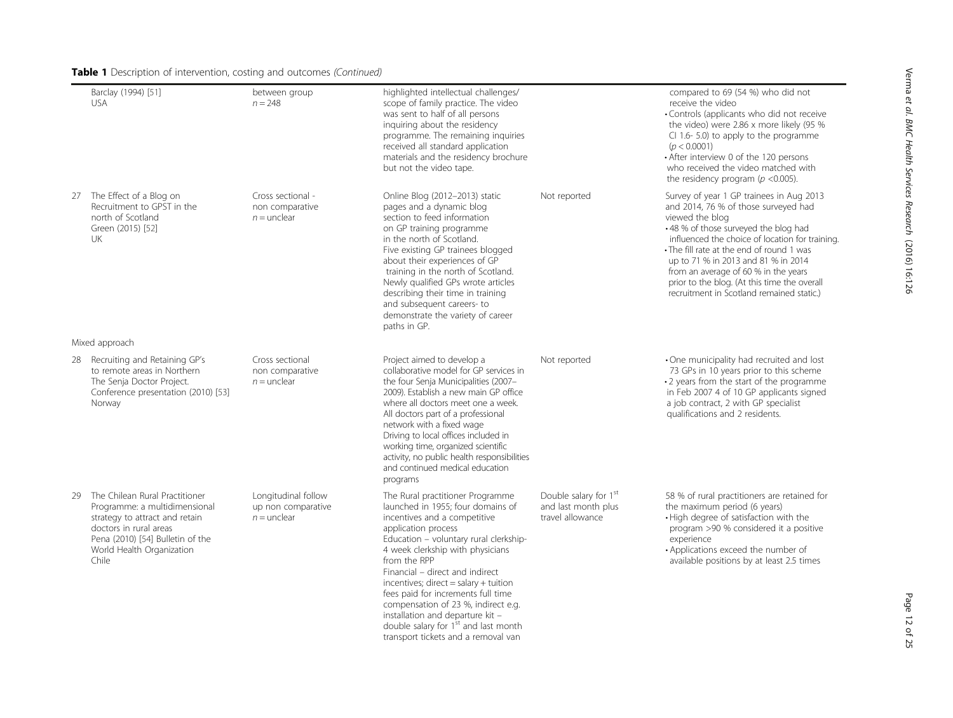|    | Barclay (1994) [51]<br><b>USA</b>                                                                                                                                                                     | between group<br>$n = 248$                                 | highlighted intellectual challenges/<br>scope of family practice. The video<br>was sent to half of all persons<br>inquiring about the residency<br>programme. The remaining inquiries<br>received all standard application<br>materials and the residency brochure<br>but not the video tape.                                                                                                                                                                                                                        |                                                                  | compared to 69 (54 %) who did not<br>receive the video<br>· Controls (applicants who did not receive<br>the video) were 2.86 x more likely (95 %<br>CI 1.6-5.0) to apply to the programme<br>(p < 0.0001)<br>• After interview 0 of the 120 persons<br>who received the video matched with<br>the residency program ( $p$ <0.005).                                                                                      |
|----|-------------------------------------------------------------------------------------------------------------------------------------------------------------------------------------------------------|------------------------------------------------------------|----------------------------------------------------------------------------------------------------------------------------------------------------------------------------------------------------------------------------------------------------------------------------------------------------------------------------------------------------------------------------------------------------------------------------------------------------------------------------------------------------------------------|------------------------------------------------------------------|-------------------------------------------------------------------------------------------------------------------------------------------------------------------------------------------------------------------------------------------------------------------------------------------------------------------------------------------------------------------------------------------------------------------------|
| 27 | The Effect of a Blog on<br>Recruitment to GPST in the<br>north of Scotland<br>Green (2015) [52]<br>UK                                                                                                 | Cross sectional -<br>non comparative<br>$n =$ unclear      | Online Blog (2012-2013) static<br>pages and a dynamic blog<br>section to feed information<br>on GP training programme<br>in the north of Scotland.<br>Five existing GP trainees blogged<br>about their experiences of GP<br>training in the north of Scotland.<br>Newly qualified GPs wrote articles<br>describing their time in training<br>and subsequent careers- to<br>demonstrate the variety of career<br>paths in GP.                                                                                         | Not reported                                                     | Survey of year 1 GP trainees in Aug 2013<br>and 2014, 76 % of those surveyed had<br>viewed the blog<br>.48 % of those surveyed the blog had<br>influenced the choice of location for training.<br>• The fill rate at the end of round 1 was<br>up to 71 % in 2013 and 81 % in 2014<br>from an average of 60 % in the years<br>prior to the blog. (At this time the overall<br>recruitment in Scotland remained static.) |
|    | Mixed approach                                                                                                                                                                                        |                                                            |                                                                                                                                                                                                                                                                                                                                                                                                                                                                                                                      |                                                                  |                                                                                                                                                                                                                                                                                                                                                                                                                         |
|    | 28 Recruiting and Retaining GP's<br>to remote areas in Northern<br>The Senja Doctor Project.<br>Conference presentation (2010) [53]<br>Norway                                                         | Cross sectional<br>non comparative<br>$n =$ unclear        | Project aimed to develop a<br>collaborative model for GP services in<br>the four Senja Municipalities (2007-<br>2009). Establish a new main GP office<br>where all doctors meet one a week.<br>All doctors part of a professional<br>network with a fixed wage<br>Driving to local offices included in<br>working time, organized scientific<br>activity, no public health responsibilities<br>and continued medical education<br>programs                                                                           | Not reported                                                     | • One municipality had recruited and lost<br>73 GPs in 10 years prior to this scheme<br>• 2 years from the start of the programme<br>in Feb 2007 4 of 10 GP applicants signed<br>a job contract, 2 with GP specialist<br>qualifications and 2 residents.                                                                                                                                                                |
| 29 | The Chilean Rural Practitioner<br>Programme: a multidimensional<br>strategy to attract and retain<br>doctors in rural areas<br>Pena (2010) [54] Bulletin of the<br>World Health Organization<br>Chile | Longitudinal follow<br>up non comparative<br>$n =$ unclear | The Rural practitioner Programme<br>launched in 1955: four domains of<br>incentives and a competitive<br>application process<br>Education - voluntary rural clerkship-<br>4 week clerkship with physicians<br>from the RPP<br>Financial - direct and indirect<br>incentives; $direct = salary + tuition$<br>fees paid for increments full time<br>compensation of 23 %, indirect e.g.<br>installation and departure kit -<br>double salary for 1 <sup>st</sup> and last month<br>transport tickets and a removal van | Double salary for 1st<br>and last month plus<br>travel allowance | 58 % of rural practitioners are retained for<br>the maximum period (6 years)<br>. High degree of satisfaction with the<br>program >90 % considered it a positive<br>experience<br>• Applications exceed the number of<br>available positions by at least 2.5 times                                                                                                                                                      |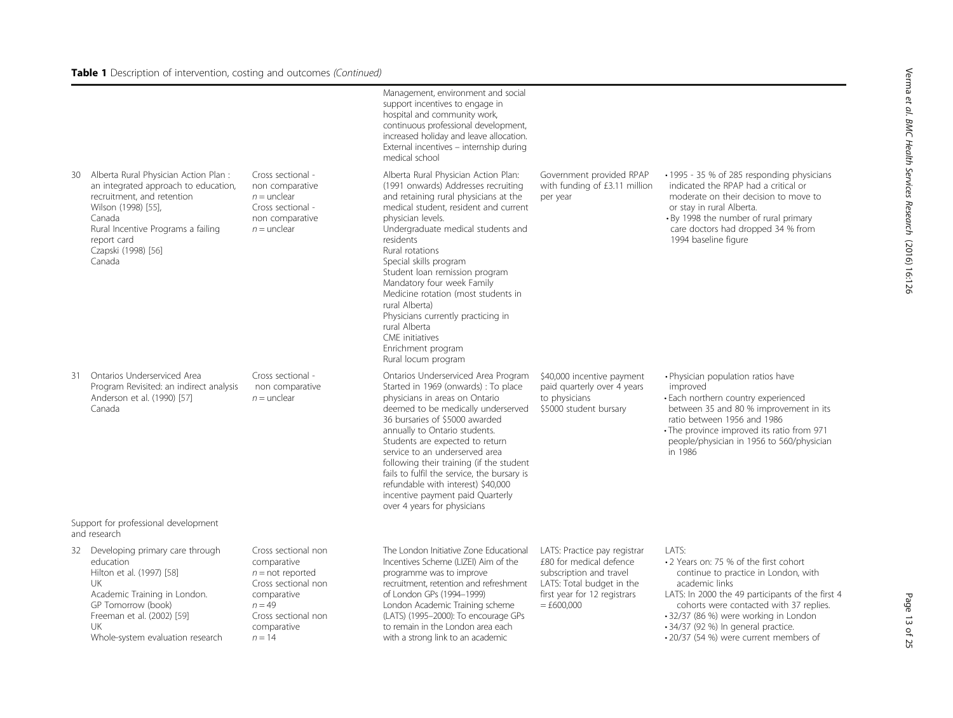|    |                                                                                                                                                                                                                                       |                                                                                                                                                              | Management, environment and social<br>support incentives to engage in<br>hospital and community work,<br>continuous professional development,<br>increased holiday and leave allocation.<br>External incentives - internship during<br>medical school                                                                                                                                                                                                                                                                              |                                                                                                                                                                 |                                                                                                                                                                                                                                                                                                                                    |
|----|---------------------------------------------------------------------------------------------------------------------------------------------------------------------------------------------------------------------------------------|--------------------------------------------------------------------------------------------------------------------------------------------------------------|------------------------------------------------------------------------------------------------------------------------------------------------------------------------------------------------------------------------------------------------------------------------------------------------------------------------------------------------------------------------------------------------------------------------------------------------------------------------------------------------------------------------------------|-----------------------------------------------------------------------------------------------------------------------------------------------------------------|------------------------------------------------------------------------------------------------------------------------------------------------------------------------------------------------------------------------------------------------------------------------------------------------------------------------------------|
|    | 30 Alberta Rural Physician Action Plan :<br>an integrated approach to education,<br>recruitment, and retention<br>Wilson (1998) [55],<br>Canada<br>Rural Incentive Programs a failing<br>report card<br>Czapski (1998) [56]<br>Canada | Cross sectional -<br>non comparative<br>$n =$ unclear<br>Cross sectional -<br>non comparative<br>$n =$ unclear                                               | Alberta Rural Physician Action Plan:<br>(1991 onwards) Addresses recruiting<br>and retaining rural physicians at the<br>medical student, resident and current<br>physician levels.<br>Undergraduate medical students and<br>residents<br>Rural rotations<br>Special skills program<br>Student loan remission program<br>Mandatory four week Family<br>Medicine rotation (most students in<br>rural Alberta)<br>Physicians currently practicing in<br>rural Alberta<br>CME initiatives<br>Enrichment program<br>Rural locum program | Government provided RPAP<br>with funding of £3.11 million<br>per year                                                                                           | • 1995 - 35 % of 285 responding physicians<br>indicated the RPAP had a critical or<br>moderate on their decision to move to<br>or stay in rural Alberta.<br>• By 1998 the number of rural primary<br>care doctors had dropped 34 % from<br>1994 baseline figure                                                                    |
| 31 | Ontarios Underserviced Area<br>Program Revisited: an indirect analysis<br>Anderson et al. (1990) [57]<br>Canada                                                                                                                       | Cross sectional -<br>non comparative<br>$n =$ unclear                                                                                                        | Ontarios Underserviced Area Program<br>Started in 1969 (onwards) : To place<br>physicians in areas on Ontario<br>deemed to be medically underserved<br>36 bursaries of \$5000 awarded<br>annually to Ontario students.<br>Students are expected to return<br>service to an underserved area<br>following their training (if the student<br>fails to fulfil the service, the bursary is<br>refundable with interest) \$40,000<br>incentive payment paid Quarterly<br>over 4 years for physicians                                    | \$40,000 incentive payment<br>paid quarterly over 4 years<br>to physicians<br>\$5000 student bursary                                                            | · Physician population ratios have<br>improved<br>· Each northern country experienced<br>between 35 and 80 % improvement in its<br>ratio between 1956 and 1986<br>• The province improved its ratio from 971<br>people/physician in 1956 to 560/physician<br>in 1986                                                               |
|    | Support for professional development<br>and research                                                                                                                                                                                  |                                                                                                                                                              |                                                                                                                                                                                                                                                                                                                                                                                                                                                                                                                                    |                                                                                                                                                                 |                                                                                                                                                                                                                                                                                                                                    |
|    | 32 Developing primary care through<br>education<br>Hilton et al. (1997) [58]<br>UK<br>Academic Training in London.<br>GP Tomorrow (book)<br>Freeman et al. (2002) [59]<br>UK<br>Whole-system evaluation research                      | Cross sectional non<br>comparative<br>$n = not reported$<br>Cross sectional non<br>comparative<br>$n = 49$<br>Cross sectional non<br>comparative<br>$n = 14$ | The London Initiative Zone Educational<br>Incentives Scheme (LIZEI) Aim of the<br>programme was to improve<br>recruitment, retention and refreshment<br>of London GPs (1994-1999)<br>London Academic Training scheme<br>(LATS) (1995-2000): To encourage GPs<br>to remain in the London area each<br>with a strong link to an academic                                                                                                                                                                                             | LATS: Practice pay registrar<br>£80 for medical defence<br>subscription and travel<br>LATS: Total budget in the<br>first year for 12 registrars<br>$= £600,000$ | LATS:<br>• 2 Years on: 75 % of the first cohort<br>continue to practice in London, with<br>academic links<br>LATS: In 2000 the 49 participants of the first 4<br>cohorts were contacted with 37 replies.<br>• 32/37 (86 %) were working in London<br>• 34/37 (92 %) In general practice.<br>• 20/37 (54 %) were current members of |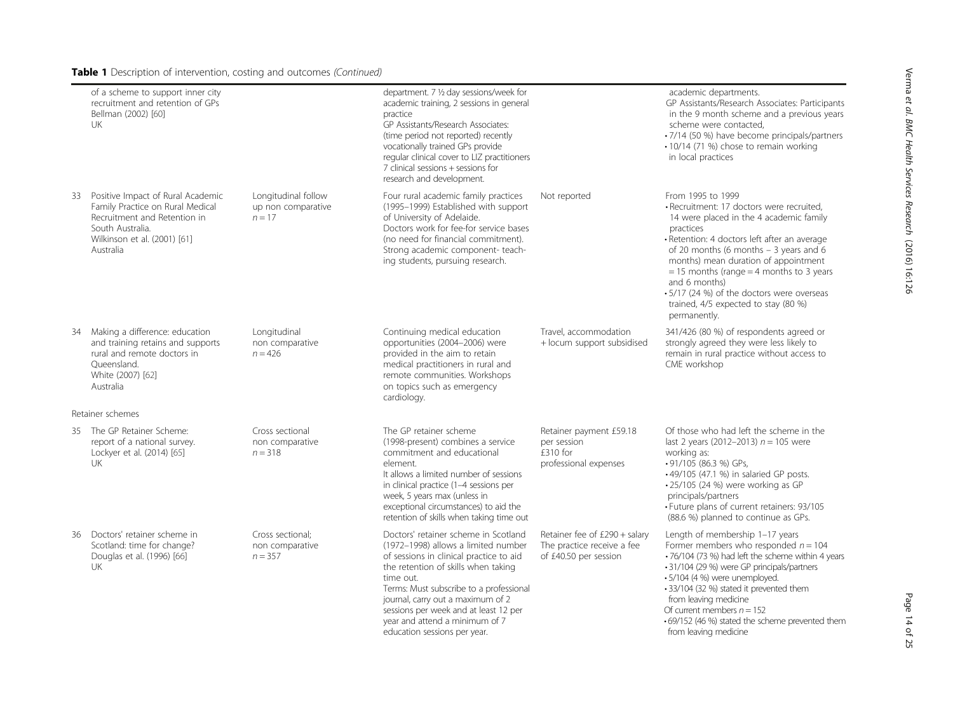Verma et al. BMC Health Services Research(2016) 16:126

|    | of a scheme to support inner city<br>recruitment and retention of GPs<br>Bellman (2002) [60]<br><b>UK</b>                                                              |                                                       | department. 7 1/2 day sessions/week for<br>academic training, 2 sessions in general<br>practice<br>GP Assistants/Research Associates:<br>(time period not reported) recently<br>vocationally trained GPs provide<br>regular clinical cover to LIZ practitioners<br>7 clinical sessions + sessions for<br>research and development.                                    |                                                                                      | academic departments.<br>GP Assistants/Research Associates: Participants<br>in the 9 month scheme and a previous years<br>scheme were contacted,<br>· 7/14 (50 %) have become principals/partners<br>· 10/14 (71 %) chose to remain working<br>in local practices                                                                                                                                                               |
|----|------------------------------------------------------------------------------------------------------------------------------------------------------------------------|-------------------------------------------------------|-----------------------------------------------------------------------------------------------------------------------------------------------------------------------------------------------------------------------------------------------------------------------------------------------------------------------------------------------------------------------|--------------------------------------------------------------------------------------|---------------------------------------------------------------------------------------------------------------------------------------------------------------------------------------------------------------------------------------------------------------------------------------------------------------------------------------------------------------------------------------------------------------------------------|
| 33 | Positive Impact of Rural Academic<br>Family Practice on Rural Medical<br>Recruitment and Retention in<br>South Australia.<br>Wilkinson et al. (2001) [61]<br>Australia | Longitudinal follow<br>up non comparative<br>$n = 17$ | Four rural academic family practices<br>(1995-1999) Established with support<br>of University of Adelaide.<br>Doctors work for fee-for service bases<br>(no need for financial commitment).<br>Strong academic component- teach-<br>ing students, pursuing research.                                                                                                  | Not reported                                                                         | From 1995 to 1999<br>· Recruitment: 17 doctors were recruited,<br>14 were placed in the 4 academic family<br>practices<br>· Retention: 4 doctors left after an average<br>of 20 months (6 months - 3 years and 6<br>months) mean duration of appointment<br>$= 15$ months (range $= 4$ months to 3 years<br>and 6 months)<br>• 5/17 (24 %) of the doctors were overseas<br>trained, 4/5 expected to stay (80 %)<br>permanently. |
|    | 34 Making a difference: education<br>and training retains and supports<br>rural and remote doctors in<br>Queensland.<br>White (2007) [62]<br>Australia                 | Longitudinal<br>non comparative<br>$n = 426$          | Continuing medical education<br>opportunities (2004-2006) were<br>provided in the aim to retain<br>medical practitioners in rural and<br>remote communities. Workshops<br>on topics such as emergency<br>cardiology.                                                                                                                                                  | Travel, accommodation<br>+ locum support subsidised                                  | 341/426 (80 %) of respondents agreed or<br>strongly agreed they were less likely to<br>remain in rural practice without access to<br>CME workshop                                                                                                                                                                                                                                                                               |
|    | Retainer schemes                                                                                                                                                       |                                                       |                                                                                                                                                                                                                                                                                                                                                                       |                                                                                      |                                                                                                                                                                                                                                                                                                                                                                                                                                 |
|    | 35 The GP Retainer Scheme:<br>report of a national survey.<br>Lockyer et al. (2014) [65]<br><b>UK</b>                                                                  | Cross sectional<br>non comparative<br>$n = 318$       | The GP retainer scheme<br>(1998-present) combines a service<br>commitment and educational<br>element.<br>It allows a limited number of sessions<br>in clinical practice (1-4 sessions per<br>week, 5 years max (unless in<br>exceptional circumstances) to aid the<br>retention of skills when taking time out                                                        | Retainer payment £59.18<br>per session<br>£310 for<br>professional expenses          | Of those who had left the scheme in the<br>last 2 years (2012-2013) $n = 105$ were<br>working as:<br>• 91/105 (86.3 %) GPs,<br>• 49/105 (47.1 %) in salaried GP posts.<br>$\cdot$ 25/105 (24 %) were working as GP<br>principals/partners<br>• Future plans of current retainers: 93/105<br>(88.6 %) planned to continue as GPs.                                                                                                |
| 36 | Doctors' retainer scheme in<br>Scotland: time for change?<br>Douglas et al. (1996) [66]<br><b>UK</b>                                                                   | Cross sectional:<br>non comparative<br>$n = 357$      | Doctors' retainer scheme in Scotland<br>(1972-1998) allows a limited number<br>of sessions in clinical practice to aid<br>the retention of skills when taking<br>time out.<br>Terms: Must subscribe to a professional<br>journal, carry out a maximum of 2<br>sessions per week and at least 12 per<br>year and attend a minimum of 7<br>education sessions per year. | Retainer fee of £290 + salary<br>The practice receive a fee<br>of £40.50 per session | Length of membership 1-17 years<br>Former members who responded $n = 104$<br>• 76/104 (73 %) had left the scheme within 4 years<br>· 31/104 (29 %) were GP principals/partners<br>· 5/104 (4 %) were unemployed.<br>• 33/104 (32 %) stated it prevented them<br>from leaving medicine<br>Of current members $n = 152$<br>•69/152 (46 %) stated the scheme prevented them<br>from leaving medicine                               |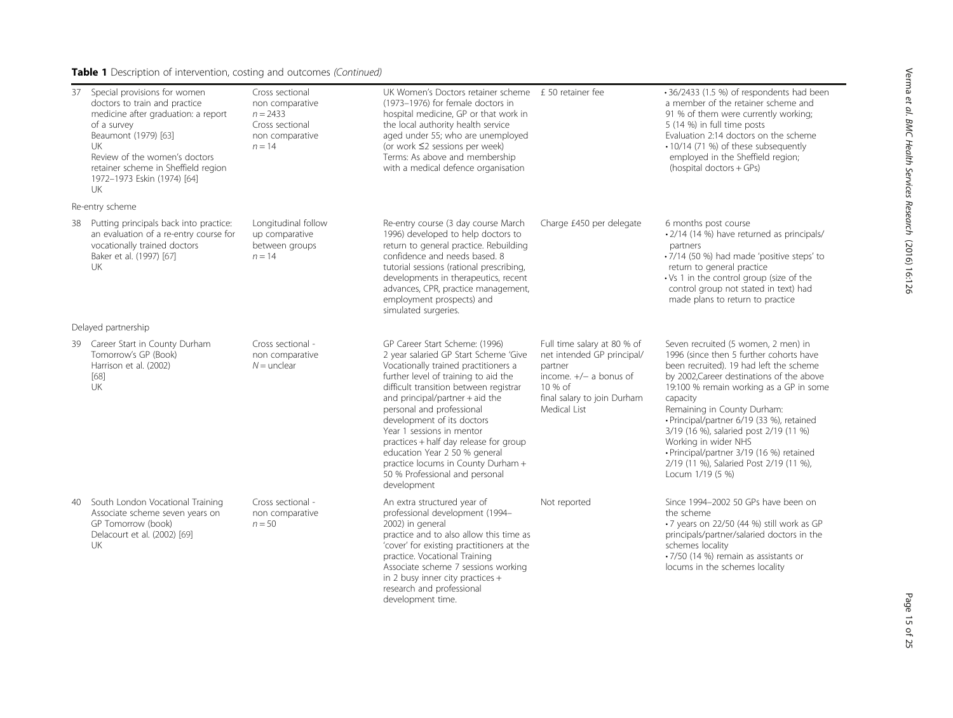| 37 | Special provisions for women<br>doctors to train and practice<br>medicine after graduation: a report<br>of a survey<br>Beaumont (1979) [63]<br>UK<br>Review of the women's doctors<br>retainer scheme in Sheffield region<br>1972-1973 Eskin (1974) [64]<br>UK | Cross sectional<br>non comparative<br>$n = 2433$<br>Cross sectional<br>non comparative<br>$n = 14$ | UK Women's Doctors retainer scheme £ 50 retainer fee<br>(1973-1976) for female doctors in<br>hospital medicine, GP or that work in<br>the local authority health service<br>aged under 55; who are unemployed<br>(or work ≤2 sessions per week)<br>Terms: As above and membership<br>with a medical defence organisation                                                                                                                                                                         |                                                                                                                                                            | • 36/2433 (1.5 %) of respondents had been<br>a member of the retainer scheme and<br>91 % of them were currently working;<br>5 (14 %) in full time posts<br>Evaluation 2:14 doctors on the scheme<br>• 10/14 (71 %) of these subsequently<br>employed in the Sheffield region;<br>(hospital doctors $+$ GPs)                                                                                                                                                                            |
|----|----------------------------------------------------------------------------------------------------------------------------------------------------------------------------------------------------------------------------------------------------------------|----------------------------------------------------------------------------------------------------|--------------------------------------------------------------------------------------------------------------------------------------------------------------------------------------------------------------------------------------------------------------------------------------------------------------------------------------------------------------------------------------------------------------------------------------------------------------------------------------------------|------------------------------------------------------------------------------------------------------------------------------------------------------------|----------------------------------------------------------------------------------------------------------------------------------------------------------------------------------------------------------------------------------------------------------------------------------------------------------------------------------------------------------------------------------------------------------------------------------------------------------------------------------------|
|    | Re-entry scheme                                                                                                                                                                                                                                                |                                                                                                    |                                                                                                                                                                                                                                                                                                                                                                                                                                                                                                  |                                                                                                                                                            |                                                                                                                                                                                                                                                                                                                                                                                                                                                                                        |
| 38 | Putting principals back into practice:<br>an evaluation of a re-entry course for<br>vocationally trained doctors<br>Baker et al. (1997) [67]<br>UK                                                                                                             | Longitudinal follow<br>up comparative<br>between groups<br>$n = 14$                                | Re-entry course (3 day course March<br>1996) developed to help doctors to<br>return to general practice. Rebuilding<br>confidence and needs based. 8<br>tutorial sessions (rational prescribing,<br>developments in therapeutics, recent<br>advances, CPR, practice management,<br>employment prospects) and<br>simulated surgeries.                                                                                                                                                             | Charge £450 per delegate                                                                                                                                   | 6 months post course<br>· 2/14 (14 %) have returned as principals/<br>partners<br>· 7/14 (50 %) had made 'positive steps' to<br>return to general practice<br>. Vs 1 in the control group (size of the<br>control group not stated in text) had<br>made plans to return to practice                                                                                                                                                                                                    |
|    | Delayed partnership                                                                                                                                                                                                                                            |                                                                                                    |                                                                                                                                                                                                                                                                                                                                                                                                                                                                                                  |                                                                                                                                                            |                                                                                                                                                                                                                                                                                                                                                                                                                                                                                        |
|    | 39 Career Start in County Durham<br>Tomorrow's GP (Book)<br>Harrison et al. (2002)<br>[68]<br><b>UK</b>                                                                                                                                                        | Cross sectional -<br>non comparative<br>$N =$ unclear                                              | GP Career Start Scheme: (1996)<br>2 year salaried GP Start Scheme 'Give<br>Vocationally trained practitioners a<br>further level of training to aid the<br>difficult transition between registrar<br>and principal/partner $+$ aid the<br>personal and professional<br>development of its doctors<br>Year 1 sessions in mentor<br>practices + half day release for group<br>education Year 2 50 % general<br>practice locums in County Durham +<br>50 % Professional and personal<br>development | Full time salary at 80 % of<br>net intended GP principal/<br>partner<br>income. $+/-$ a bonus of<br>10 % of<br>final salary to join Durham<br>Medical List | Seven recruited (5 women, 2 men) in<br>1996 (since then 5 further cohorts have<br>been recruited). 19 had left the scheme<br>by 2002, Career destinations of the above<br>19:100 % remain working as a GP in some<br>capacity<br>Remaining in County Durham:<br>· Principal/partner 6/19 (33 %), retained<br>3/19 (16 %), salaried post 2/19 (11 %)<br>Working in wider NHS<br>· Principal/partner 3/19 (16 %) retained<br>2/19 (11 %), Salaried Post 2/19 (11 %),<br>Locum 1/19 (5 %) |
| 40 | South London Vocational Training<br>Associate scheme seven years on<br>GP Tomorrow (book)<br>Delacourt et al. (2002) [69]<br><b>UK</b>                                                                                                                         | Cross sectional -<br>non comparative<br>$n = 50$                                                   | An extra structured year of<br>professional development (1994-<br>2002) in general<br>practice and to also allow this time as<br>'cover' for existing practitioners at the<br>practice. Vocational Training<br>Associate scheme 7 sessions working<br>in 2 busy inner city practices $+$<br>research and professional<br>development time.                                                                                                                                                       | Not reported                                                                                                                                               | Since 1994-2002 50 GPs have been on<br>the scheme<br>•7 years on 22/50 (44 %) still work as GP<br>principals/partner/salaried doctors in the<br>schemes locality<br>• 7/50 (14 %) remain as assistants or<br>locums in the schemes locality                                                                                                                                                                                                                                            |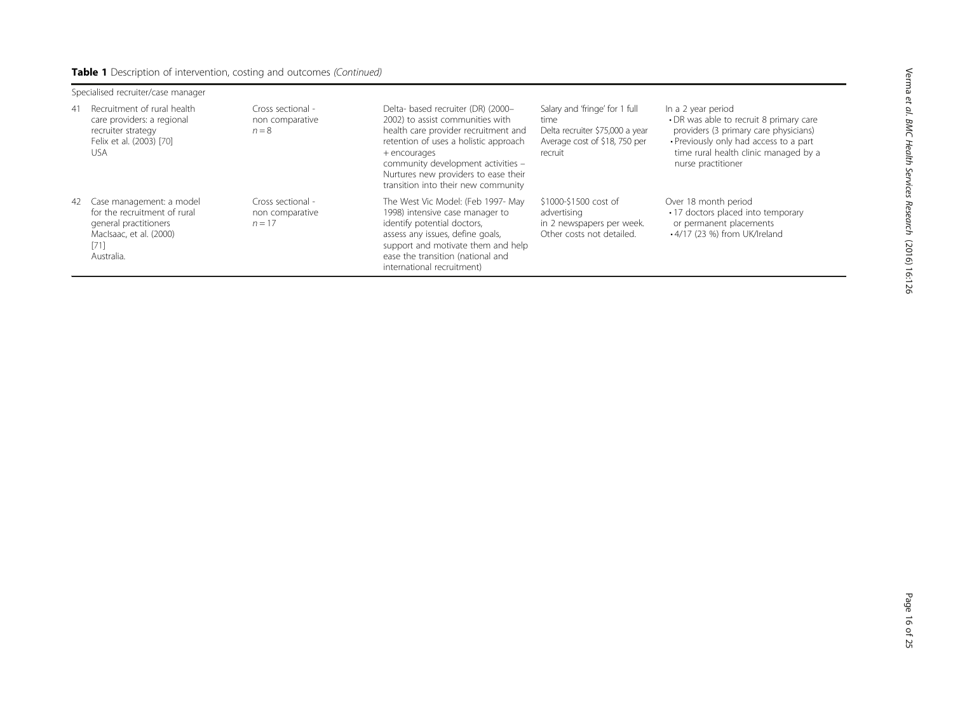| Specialised recruiter/case manager |                                                                                                                                       |                                                  |                                                                                                                                                                                                                                                                                              |                                                                                                                       |                                                                                                                                                                                                                 |  |  |
|------------------------------------|---------------------------------------------------------------------------------------------------------------------------------------|--------------------------------------------------|----------------------------------------------------------------------------------------------------------------------------------------------------------------------------------------------------------------------------------------------------------------------------------------------|-----------------------------------------------------------------------------------------------------------------------|-----------------------------------------------------------------------------------------------------------------------------------------------------------------------------------------------------------------|--|--|
| 41                                 | Recruitment of rural health<br>care providers: a regional<br>recruiter strategy<br>Felix et al. (2003) [70]<br><b>USA</b>             | Cross sectional -<br>non comparative<br>$n = 8$  | Delta- based recruiter (DR) (2000-<br>2002) to assist communities with<br>health care provider recruitment and<br>retention of uses a holistic approach<br>+ encourages<br>community development activities -<br>Nurtures new providers to ease their<br>transition into their new community | Salary and 'fringe' for 1 full<br>time<br>Delta recruiter \$75,000 a year<br>Average cost of \$18, 750 per<br>recruit | In a 2 year period<br>• DR was able to recruit 8 primary care<br>providers (3 primary care physicians)<br>• Previously only had access to a part<br>time rural health clinic managed by a<br>nurse practitioner |  |  |
|                                    | 42 Case management: a model<br>for the recruitment of rural<br>general practitioners<br>MacIsaac, et al. (2000)<br>[71]<br>Australia. | Cross sectional -<br>non comparative<br>$n = 17$ | The West Vic Model: (Feb 1997- May<br>1998) intensive case manager to<br>identify potential doctors,<br>assess any issues, define goals,<br>support and motivate them and help<br>ease the transition (national and<br>international recruitment)                                            | \$1000-\$1500 cost of<br>advertising<br>in 2 newspapers per week.<br>Other costs not detailed.                        | Over 18 month period<br>• 17 doctors placed into temporary<br>or permanent placements<br>+4/17 (23 %) from UK/Ireland                                                                                           |  |  |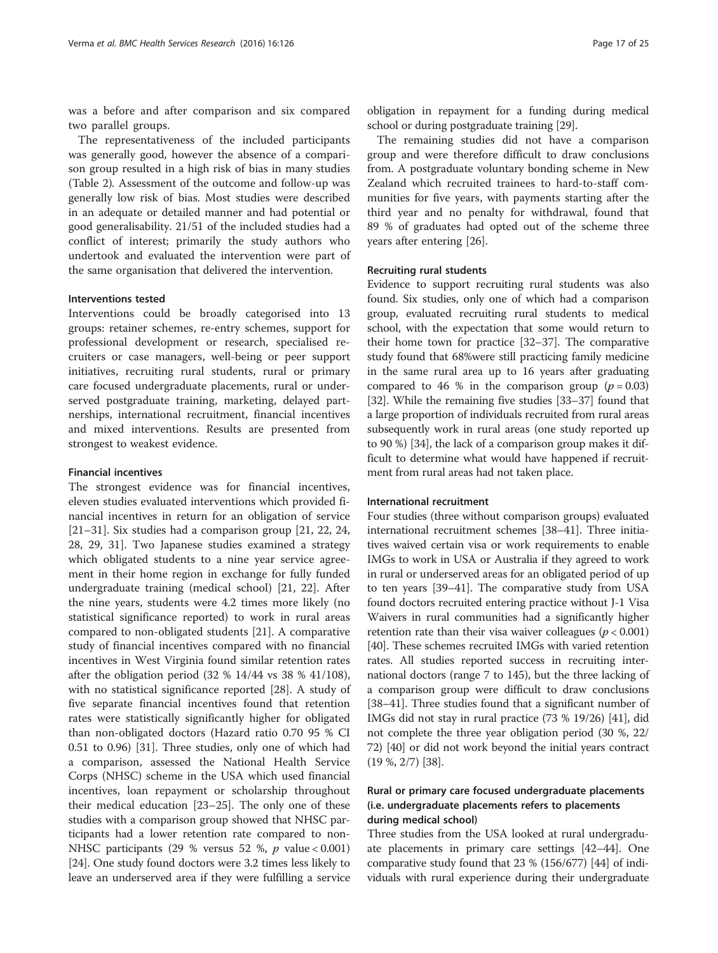was a before and after comparison and six compared two parallel groups.

The representativeness of the included participants was generally good, however the absence of a comparison group resulted in a high risk of bias in many studies (Table [2](#page-17-0)). Assessment of the outcome and follow-up was generally low risk of bias. Most studies were described in an adequate or detailed manner and had potential or good generalisability. 21/51 of the included studies had a conflict of interest; primarily the study authors who undertook and evaluated the intervention were part of the same organisation that delivered the intervention.

#### Interventions tested

Interventions could be broadly categorised into 13 groups: retainer schemes, re-entry schemes, support for professional development or research, specialised recruiters or case managers, well-being or peer support initiatives, recruiting rural students, rural or primary care focused undergraduate placements, rural or underserved postgraduate training, marketing, delayed partnerships, international recruitment, financial incentives and mixed interventions. Results are presented from strongest to weakest evidence.

#### Financial incentives

The strongest evidence was for financial incentives, eleven studies evaluated interventions which provided financial incentives in return for an obligation of service [[21](#page-23-0)–[31](#page-24-0)]. Six studies had a comparison group [\[21](#page-23-0), [22](#page-24-0), [24](#page-24-0), [28, 29](#page-24-0), [31\]](#page-24-0). Two Japanese studies examined a strategy which obligated students to a nine year service agreement in their home region in exchange for fully funded undergraduate training (medical school) [\[21](#page-23-0), [22\]](#page-24-0). After the nine years, students were 4.2 times more likely (no statistical significance reported) to work in rural areas compared to non-obligated students [\[21](#page-23-0)]. A comparative study of financial incentives compared with no financial incentives in West Virginia found similar retention rates after the obligation period (32 % 14/44 vs 38 % 41/108), with no statistical significance reported [\[28](#page-24-0)]. A study of five separate financial incentives found that retention rates were statistically significantly higher for obligated than non-obligated doctors (Hazard ratio 0.70 95 % CI 0.51 to 0.96) [[31\]](#page-24-0). Three studies, only one of which had a comparison, assessed the National Health Service Corps (NHSC) scheme in the USA which used financial incentives, loan repayment or scholarship throughout their medical education [\[23](#page-24-0)–[25\]](#page-24-0). The only one of these studies with a comparison group showed that NHSC participants had a lower retention rate compared to non-NHSC participants (29 % versus 52 %, p value < 0.001) [[24](#page-24-0)]. One study found doctors were 3.2 times less likely to leave an underserved area if they were fulfilling a service

obligation in repayment for a funding during medical school or during postgraduate training [\[29](#page-24-0)].

The remaining studies did not have a comparison group and were therefore difficult to draw conclusions from. A postgraduate voluntary bonding scheme in New Zealand which recruited trainees to hard-to-staff communities for five years, with payments starting after the third year and no penalty for withdrawal, found that 89 % of graduates had opted out of the scheme three years after entering [[26](#page-24-0)].

#### Recruiting rural students

Evidence to support recruiting rural students was also found. Six studies, only one of which had a comparison group, evaluated recruiting rural students to medical school, with the expectation that some would return to their home town for practice [\[32](#page-24-0)–[37](#page-24-0)]. The comparative study found that 68%were still practicing family medicine in the same rural area up to 16 years after graduating compared to 46 % in the comparison group ( $p = 0.03$ ) [[32](#page-24-0)]. While the remaining five studies [[33](#page-24-0)–[37\]](#page-24-0) found that a large proportion of individuals recruited from rural areas subsequently work in rural areas (one study reported up to 90 %) [[34](#page-24-0)], the lack of a comparison group makes it difficult to determine what would have happened if recruitment from rural areas had not taken place.

#### International recruitment

Four studies (three without comparison groups) evaluated international recruitment schemes [[38](#page-24-0)–[41\]](#page-24-0). Three initiatives waived certain visa or work requirements to enable IMGs to work in USA or Australia if they agreed to work in rural or underserved areas for an obligated period of up to ten years [[39](#page-24-0)–[41\]](#page-24-0). The comparative study from USA found doctors recruited entering practice without J-1 Visa Waivers in rural communities had a significantly higher retention rate than their visa waiver colleagues ( $p < 0.001$ ) [[40](#page-24-0)]. These schemes recruited IMGs with varied retention rates. All studies reported success in recruiting international doctors (range 7 to 145), but the three lacking of a comparison group were difficult to draw conclusions [[38](#page-24-0)–[41\]](#page-24-0). Three studies found that a significant number of IMGs did not stay in rural practice (73 % 19/26) [[41](#page-24-0)], did not complete the three year obligation period (30 %, 22/ 72) [[40](#page-24-0)] or did not work beyond the initial years contract (19 %, 2/7) [\[38](#page-24-0)].

## Rural or primary care focused undergraduate placements (i.e. undergraduate placements refers to placements during medical school)

Three studies from the USA looked at rural undergraduate placements in primary care settings [\[42](#page-24-0)–[44](#page-24-0)]. One comparative study found that 23 % (156/677) [\[44\]](#page-24-0) of individuals with rural experience during their undergraduate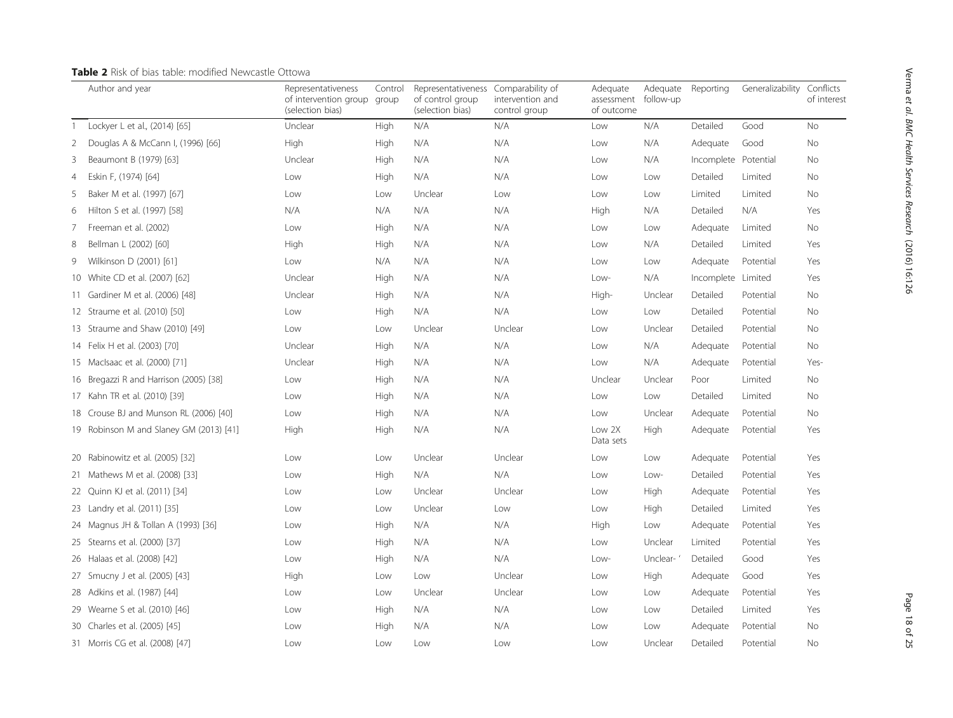## <span id="page-17-0"></span>Table 2 Risk of bias table: modified Newcastle Ottowa

|              | Author and year                         | Representativeness<br>of intervention group group<br>(selection bias) | Control | Representativeness Comparability of<br>of control group<br>(selection bias) | intervention and<br>control group | Adequate<br>assessment<br>of outcome | Adequate<br>follow-up | Reporting            | Generalizability Conflicts | of interest |
|--------------|-----------------------------------------|-----------------------------------------------------------------------|---------|-----------------------------------------------------------------------------|-----------------------------------|--------------------------------------|-----------------------|----------------------|----------------------------|-------------|
| $\mathbf{1}$ | Lockyer L et al., (2014) [65]           | Unclear                                                               | High    | N/A                                                                         | N/A                               | Low                                  | N/A                   | Detailed             | Good                       | No          |
| 2            | Douglas A & McCann I, (1996) [66]       | High                                                                  | High    | N/A                                                                         | N/A                               | Low                                  | N/A                   | Adequate             | Good                       | No.         |
| 3            | Beaumont B (1979) [63]                  | Unclear                                                               | High    | N/A                                                                         | N/A                               | Low                                  | N/A                   | Incomplete Potential |                            | No          |
| 4            | Eskin F, (1974) [64]                    | Low                                                                   | High    | N/A                                                                         | N/A                               | Low                                  | Low                   | Detailed             | Limited                    | No          |
| 5            | Baker M et al. (1997) [67]              | Low                                                                   | Low     | Unclear                                                                     | Low                               | Low                                  | Low                   | Limited              | Limited                    | No.         |
| 6            | Hilton S et al. (1997) [58]             | N/A                                                                   | N/A     | N/A                                                                         | N/A                               | High                                 | N/A                   | Detailed             | N/A                        | Yes         |
| 7            | Freeman et al. (2002)                   | Low                                                                   | High    | N/A                                                                         | N/A                               | Low                                  | Low                   | Adequate             | Limited                    | No.         |
| 8            | Bellman L (2002) [60]                   | High                                                                  | High    | N/A                                                                         | N/A                               | Low                                  | N/A                   | Detailed             | Limited                    | Yes         |
| 9            | Wilkinson D (2001) [61]                 | Low                                                                   | N/A     | N/A                                                                         | N/A                               | Low                                  | Low                   | Adequate             | Potential                  | Yes         |
|              | 10 White CD et al. (2007) [62]          | Unclear                                                               | High    | N/A                                                                         | N/A                               | Low-                                 | N/A                   | Incomplete Limited   |                            | Yes         |
|              | 11 Gardiner M et al. (2006) [48]        | Unclear                                                               | High    | N/A                                                                         | N/A                               | High-                                | Unclear               | Detailed             | Potential                  | No          |
|              | 12 Straume et al. (2010) [50]           | Low                                                                   | High    | N/A                                                                         | N/A                               | Low                                  | Low                   | Detailed             | Potential                  | No          |
|              | 13 Straume and Shaw (2010) [49]         | Low                                                                   | Low     | Unclear                                                                     | Unclear                           | Low                                  | Unclear               | Detailed             | Potential                  | No          |
|              | 14 Felix H et al. (2003) [70]           | Unclear                                                               | High    | N/A                                                                         | N/A                               | Low                                  | N/A                   | Adequate             | Potential                  | No          |
|              | 15 MacIsaac et al. (2000) [71]          | Unclear                                                               | High    | N/A                                                                         | N/A                               | Low                                  | N/A                   | Adequate             | Potential                  | Yes-        |
|              | 16 Bregazzi R and Harrison (2005) [38]  | Low                                                                   | High    | N/A                                                                         | N/A                               | Unclear                              | Unclear               | Poor                 | Limited                    | No.         |
|              | 17 Kahn TR et al. (2010) [39]           | Low                                                                   | High    | N/A                                                                         | N/A                               | Low                                  | Low                   | Detailed             | Limited                    | <b>No</b>   |
|              | 18 Crouse BJ and Munson RL (2006) [40]  | Low                                                                   | High    | N/A                                                                         | N/A                               | Low                                  | Unclear               | Adequate             | Potential                  | No.         |
|              | 19 Robinson M and Slaney GM (2013) [41] | High                                                                  | High    | N/A                                                                         | N/A                               | Low 2X<br>Data sets                  | High                  | Adequate             | Potential                  | Yes         |
|              | 20 Rabinowitz et al. (2005) [32]        | Low                                                                   | Low     | Unclear                                                                     | Unclear                           | Low                                  | Low                   | Adequate             | Potential                  | Yes         |
|              | 21 Mathews M et al. (2008) [33]         | Low                                                                   | High    | N/A                                                                         | N/A                               | Low                                  | Low-                  | Detailed             | Potential                  | Yes         |
|              | 22 Quinn KJ et al. (2011) [34]          | Low                                                                   | Low     | Unclear                                                                     | Unclear                           | Low                                  | High                  | Adequate             | Potential                  | Yes         |
|              | 23 Landry et al. (2011) [35]            | Low                                                                   | Low     | Unclear                                                                     | Low                               | Low                                  | High                  | Detailed             | Limited                    | Yes         |
|              | 24 Magnus JH & Tollan A (1993) [36]     | Low                                                                   | High    | N/A                                                                         | N/A                               | High                                 | Low                   | Adequate             | Potential                  | Yes         |
|              | 25 Stearns et al. (2000) [37]           | Low                                                                   | High    | N/A                                                                         | N/A                               | Low                                  | Unclear               | Limited              | Potential                  | Yes         |
|              | 26 Halaas et al. (2008) [42]            | Low                                                                   | High    | N/A                                                                         | N/A                               | Low-                                 | Unclear-'             | Detailed             | Good                       | Yes         |
|              | 27 Smucny J et al. (2005) [43]          | High                                                                  | Low     | Low                                                                         | Unclear                           | Low                                  | High                  | Adequate             | Good                       | Yes         |
|              | 28 Adkins et al. (1987) [44]            | Low                                                                   | Low     | Unclear                                                                     | Unclear                           | Low                                  | Low                   | Adequate             | Potential                  | Yes         |
|              | 29 Wearne S et al. (2010) [46]          | Low                                                                   | High    | N/A                                                                         | N/A                               | Low                                  | Low                   | Detailed             | Limited                    | Yes         |
|              | 30 Charles et al. (2005) [45]           | Low                                                                   | High    | N/A                                                                         | N/A                               | Low                                  | Low                   | Adequate             | Potential                  | No          |
|              | 31 Morris CG et al. (2008) [47]         | Low                                                                   | Low     | Low                                                                         | Low                               | Low                                  | Unclear               | Detailed             | Potential                  | <b>No</b>   |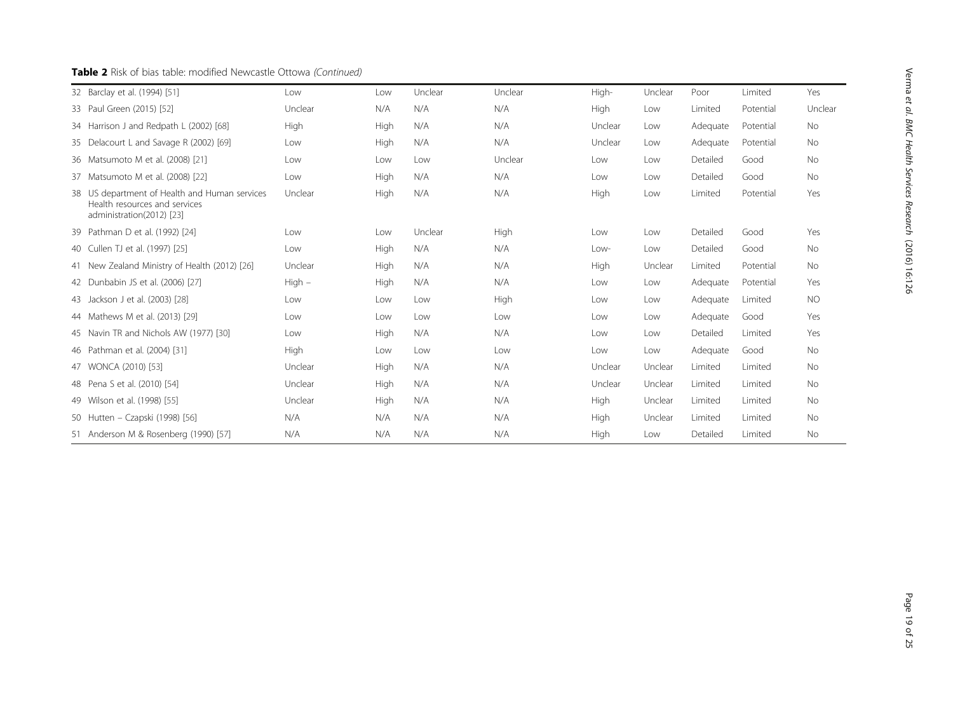## Table 2 Risk of bias table: modified Newcastle Ottowa (Continued)

| 32 Barclay et al. (1994) [51]                                                                               | Low      | Low  | Unclear | Unclear | High-   | Unclear | Poor     | Limited   | Yes       |
|-------------------------------------------------------------------------------------------------------------|----------|------|---------|---------|---------|---------|----------|-----------|-----------|
| 33 Paul Green (2015) [52]                                                                                   | Unclear  | N/A  | N/A     | N/A     | High    | Low     | Limited  | Potential | Unclear   |
| 34 Harrison J and Redpath L (2002) [68]                                                                     | High     | High | N/A     | N/A     | Unclear | Low     | Adequate | Potential | <b>No</b> |
| 35 Delacourt L and Savage R (2002) [69]                                                                     | Low      | High | N/A     | N/A     | Unclear | Low     | Adequate | Potential | <b>No</b> |
| 36 Matsumoto M et al. (2008) [21]                                                                           | Low      | Low  | Low     | Unclear | Low     | Low     | Detailed | Good      | No        |
| 37 Matsumoto M et al. (2008) [22]                                                                           | Low      | High | N/A     | N/A     | Low     | Low     | Detailed | Good      | No        |
| 38 US department of Health and Human services<br>Health resources and services<br>administration(2012) [23] | Unclear  | High | N/A     | N/A     | High    | Low     | Limited  | Potential | Yes       |
| 39 Pathman D et al. (1992) [24]                                                                             | Low      | Low  | Unclear | High    | Low     | Low     | Detailed | Good      | Yes       |
| 40 Cullen TJ et al. (1997) [25]                                                                             | Low      | High | N/A     | N/A     | Low-    | Low     | Detailed | Good      | <b>No</b> |
| 41 New Zealand Ministry of Health (2012) [26]                                                               | Unclear  | High | N/A     | N/A     | High    | Unclear | Limited  | Potential | No        |
| 42 Dunbabin JS et al. (2006) [27]                                                                           | $High -$ | High | N/A     | N/A     | Low     | Low     | Adequate | Potential | Yes       |
| 43 Jackson J et al. (2003) [28]                                                                             | Low      | Low  | Low     | High    | Low     | Low     | Adequate | Limited   | <b>NO</b> |
| 44 Mathews M et al. (2013) [29]                                                                             | Low      | Low  | Low     | Low     | Low     | Low     | Adequate | Good      | Yes       |
| 45 Navin TR and Nichols AW (1977) [30]                                                                      | Low      | High | N/A     | N/A     | Low     | Low     | Detailed | Limited   | Yes       |
| 46 Pathman et al. (2004) [31]                                                                               | High     | Low  | Low     | Low     | Low     | Low     | Adequate | Good      | No        |
| 47 WONCA (2010) [53]                                                                                        | Unclear  | High | N/A     | N/A     | Unclear | Unclear | Limited  | Limited   | <b>No</b> |
| 48 Pena S et al. (2010) [54]                                                                                | Unclear  | High | N/A     | N/A     | Unclear | Unclear | Limited  | Limited   | <b>No</b> |
| 49 Wilson et al. (1998) [55]                                                                                | Unclear  | High | N/A     | N/A     | High    | Unclear | Limited  | Limited   | No        |
| 50 Hutten - Czapski (1998) [56]                                                                             | N/A      | N/A  | N/A     | N/A     | High    | Unclear | Limited  | Limited   | No        |
| 51 Anderson M & Rosenberg (1990) [57]                                                                       | N/A      | N/A  | N/A     | N/A     | High    | Low     | Detailed | Limited   | No        |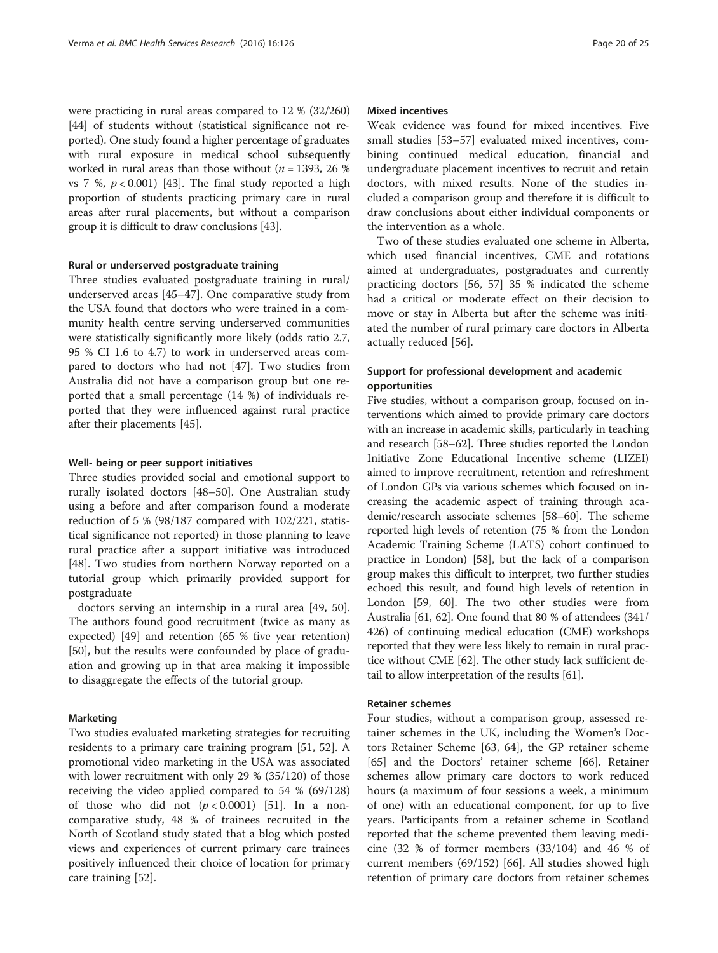were practicing in rural areas compared to 12 % (32/260) [[44](#page-24-0)] of students without (statistical significance not reported). One study found a higher percentage of graduates with rural exposure in medical school subsequently worked in rural areas than those without ( $n = 1393, 26 %$ vs 7 %,  $p < 0.001$  [\[43\]](#page-24-0). The final study reported a high proportion of students practicing primary care in rural areas after rural placements, but without a comparison group it is difficult to draw conclusions [\[43\]](#page-24-0).

#### Rural or underserved postgraduate training

Three studies evaluated postgraduate training in rural/ underserved areas [\[45](#page-24-0)–[47\]](#page-24-0). One comparative study from the USA found that doctors who were trained in a community health centre serving underserved communities were statistically significantly more likely (odds ratio 2.7, 95 % CI 1.6 to 4.7) to work in underserved areas compared to doctors who had not [\[47\]](#page-24-0). Two studies from Australia did not have a comparison group but one reported that a small percentage (14 %) of individuals reported that they were influenced against rural practice after their placements [\[45](#page-24-0)].

#### Well- being or peer support initiatives

Three studies provided social and emotional support to rurally isolated doctors [\[48](#page-24-0)–[50\]](#page-24-0). One Australian study using a before and after comparison found a moderate reduction of 5 % (98/187 compared with 102/221, statistical significance not reported) in those planning to leave rural practice after a support initiative was introduced [[48\]](#page-24-0). Two studies from northern Norway reported on a tutorial group which primarily provided support for postgraduate

doctors serving an internship in a rural area [\[49](#page-24-0), [50](#page-24-0)]. The authors found good recruitment (twice as many as expected) [\[49](#page-24-0)] and retention (65 % five year retention) [[50\]](#page-24-0), but the results were confounded by place of graduation and growing up in that area making it impossible to disaggregate the effects of the tutorial group.

#### Marketing

Two studies evaluated marketing strategies for recruiting residents to a primary care training program [[51](#page-24-0), [52\]](#page-24-0). A promotional video marketing in the USA was associated with lower recruitment with only 29 % (35/120) of those receiving the video applied compared to 54 % (69/128) of those who did not  $(p < 0.0001)$  [\[51\]](#page-24-0). In a noncomparative study, 48 % of trainees recruited in the North of Scotland study stated that a blog which posted views and experiences of current primary care trainees positively influenced their choice of location for primary care training [[52](#page-24-0)].

#### Mixed incentives

Weak evidence was found for mixed incentives. Five small studies [[53](#page-24-0)–[57](#page-24-0)] evaluated mixed incentives, combining continued medical education, financial and undergraduate placement incentives to recruit and retain doctors, with mixed results. None of the studies included a comparison group and therefore it is difficult to draw conclusions about either individual components or the intervention as a whole.

Two of these studies evaluated one scheme in Alberta, which used financial incentives, CME and rotations aimed at undergraduates, postgraduates and currently practicing doctors [\[56](#page-24-0), [57\]](#page-24-0) 35 % indicated the scheme had a critical or moderate effect on their decision to move or stay in Alberta but after the scheme was initiated the number of rural primary care doctors in Alberta actually reduced [[56](#page-24-0)].

## Support for professional development and academic opportunities

Five studies, without a comparison group, focused on interventions which aimed to provide primary care doctors with an increase in academic skills, particularly in teaching and research [\[58](#page-24-0)–[62\]](#page-24-0). Three studies reported the London Initiative Zone Educational Incentive scheme (LIZEI) aimed to improve recruitment, retention and refreshment of London GPs via various schemes which focused on increasing the academic aspect of training through academic/research associate schemes [[58](#page-24-0)–[60\]](#page-24-0). The scheme reported high levels of retention (75 % from the London Academic Training Scheme (LATS) cohort continued to practice in London) [\[58\]](#page-24-0), but the lack of a comparison group makes this difficult to interpret, two further studies echoed this result, and found high levels of retention in London [\[59, 60](#page-24-0)]. The two other studies were from Australia [[61](#page-24-0), [62\]](#page-24-0). One found that 80 % of attendees (341/ 426) of continuing medical education (CME) workshops reported that they were less likely to remain in rural practice without CME [[62](#page-24-0)]. The other study lack sufficient detail to allow interpretation of the results [\[61](#page-24-0)].

#### Retainer schemes

Four studies, without a comparison group, assessed retainer schemes in the UK, including the Women's Doctors Retainer Scheme [\[63](#page-24-0), [64](#page-24-0)], the GP retainer scheme [[65\]](#page-24-0) and the Doctors' retainer scheme [[66](#page-24-0)]. Retainer schemes allow primary care doctors to work reduced hours (a maximum of four sessions a week, a minimum of one) with an educational component, for up to five years. Participants from a retainer scheme in Scotland reported that the scheme prevented them leaving medicine (32 % of former members (33/104) and 46 % of current members (69/152) [[66](#page-24-0)]. All studies showed high retention of primary care doctors from retainer schemes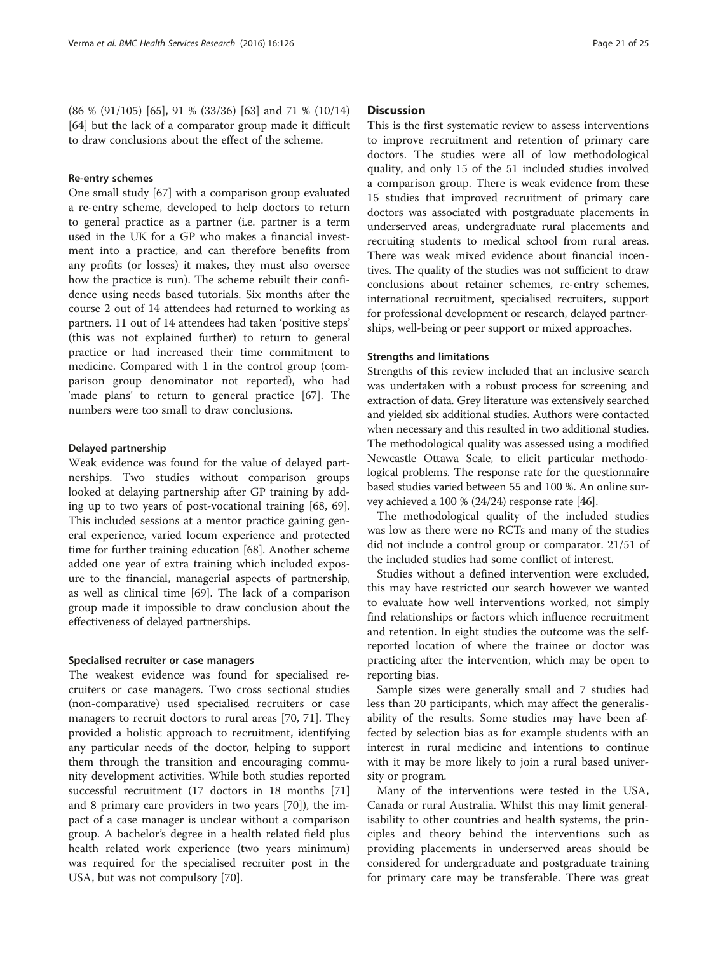(86 % (91/105) [\[65](#page-24-0)], 91 % (33/36) [[63](#page-24-0)] and 71 % (10/14) [[64\]](#page-24-0) but the lack of a comparator group made it difficult to draw conclusions about the effect of the scheme.

## Re-entry schemes

One small study [[67\]](#page-24-0) with a comparison group evaluated a re-entry scheme, developed to help doctors to return to general practice as a partner (i.e. partner is a term used in the UK for a GP who makes a financial investment into a practice, and can therefore benefits from any profits (or losses) it makes, they must also oversee how the practice is run). The scheme rebuilt their confidence using needs based tutorials. Six months after the course 2 out of 14 attendees had returned to working as partners. 11 out of 14 attendees had taken 'positive steps' (this was not explained further) to return to general practice or had increased their time commitment to medicine. Compared with 1 in the control group (comparison group denominator not reported), who had 'made plans' to return to general practice [\[67](#page-24-0)]. The numbers were too small to draw conclusions.

#### Delayed partnership

Weak evidence was found for the value of delayed partnerships. Two studies without comparison groups looked at delaying partnership after GP training by adding up to two years of post-vocational training [[68](#page-24-0), [69](#page-24-0)]. This included sessions at a mentor practice gaining general experience, varied locum experience and protected time for further training education [[68\]](#page-24-0). Another scheme added one year of extra training which included exposure to the financial, managerial aspects of partnership, as well as clinical time [\[69](#page-24-0)]. The lack of a comparison group made it impossible to draw conclusion about the effectiveness of delayed partnerships.

#### Specialised recruiter or case managers

The weakest evidence was found for specialised recruiters or case managers. Two cross sectional studies (non-comparative) used specialised recruiters or case managers to recruit doctors to rural areas [\[70](#page-24-0), [71](#page-24-0)]. They provided a holistic approach to recruitment, identifying any particular needs of the doctor, helping to support them through the transition and encouraging community development activities. While both studies reported successful recruitment (17 doctors in 18 months [[71](#page-24-0)] and 8 primary care providers in two years [\[70\]](#page-24-0)), the impact of a case manager is unclear without a comparison group. A bachelor's degree in a health related field plus health related work experience (two years minimum) was required for the specialised recruiter post in the USA, but was not compulsory [\[70](#page-24-0)].

#### **Discussion**

This is the first systematic review to assess interventions to improve recruitment and retention of primary care doctors. The studies were all of low methodological quality, and only 15 of the 51 included studies involved a comparison group. There is weak evidence from these 15 studies that improved recruitment of primary care doctors was associated with postgraduate placements in underserved areas, undergraduate rural placements and recruiting students to medical school from rural areas. There was weak mixed evidence about financial incentives. The quality of the studies was not sufficient to draw conclusions about retainer schemes, re-entry schemes, international recruitment, specialised recruiters, support for professional development or research, delayed partnerships, well-being or peer support or mixed approaches.

#### Strengths and limitations

Strengths of this review included that an inclusive search was undertaken with a robust process for screening and extraction of data. Grey literature was extensively searched and yielded six additional studies. Authors were contacted when necessary and this resulted in two additional studies. The methodological quality was assessed using a modified Newcastle Ottawa Scale, to elicit particular methodological problems. The response rate for the questionnaire based studies varied between 55 and 100 %. An online survey achieved a 100 % (24/24) response rate [\[46](#page-24-0)].

The methodological quality of the included studies was low as there were no RCTs and many of the studies did not include a control group or comparator. 21/51 of the included studies had some conflict of interest.

Studies without a defined intervention were excluded, this may have restricted our search however we wanted to evaluate how well interventions worked, not simply find relationships or factors which influence recruitment and retention. In eight studies the outcome was the selfreported location of where the trainee or doctor was practicing after the intervention, which may be open to reporting bias.

Sample sizes were generally small and 7 studies had less than 20 participants, which may affect the generalisability of the results. Some studies may have been affected by selection bias as for example students with an interest in rural medicine and intentions to continue with it may be more likely to join a rural based university or program.

Many of the interventions were tested in the USA, Canada or rural Australia. Whilst this may limit generalisability to other countries and health systems, the principles and theory behind the interventions such as providing placements in underserved areas should be considered for undergraduate and postgraduate training for primary care may be transferable. There was great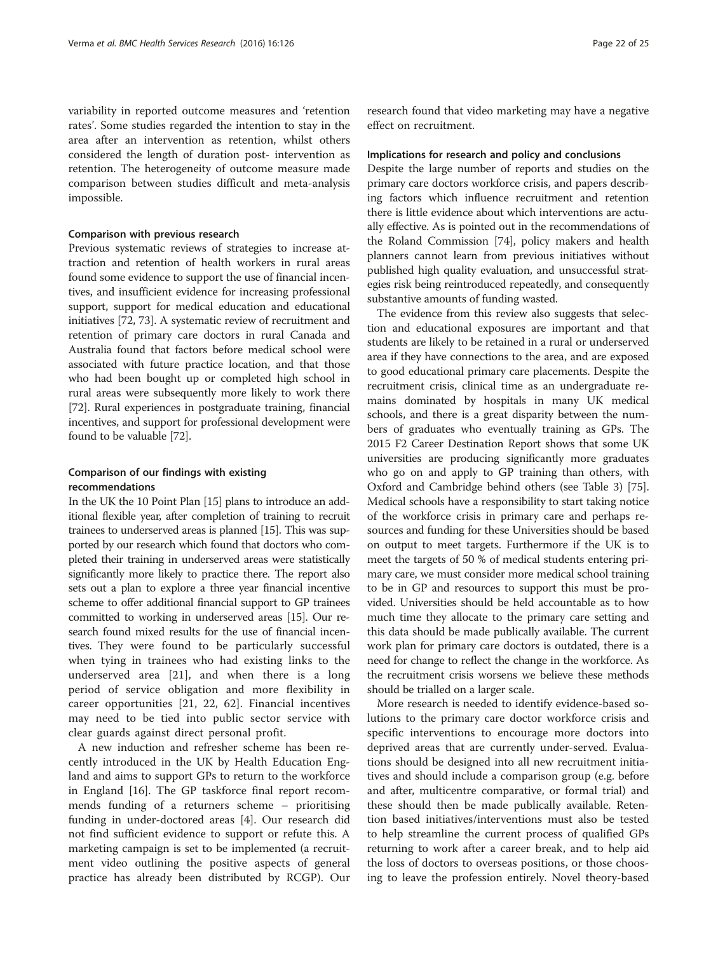variability in reported outcome measures and 'retention rates'. Some studies regarded the intention to stay in the area after an intervention as retention, whilst others considered the length of duration post- intervention as retention. The heterogeneity of outcome measure made comparison between studies difficult and meta-analysis impossible.

#### Comparison with previous research

Previous systematic reviews of strategies to increase attraction and retention of health workers in rural areas found some evidence to support the use of financial incentives, and insufficient evidence for increasing professional support, support for medical education and educational initiatives [[72](#page-24-0), [73\]](#page-24-0). A systematic review of recruitment and retention of primary care doctors in rural Canada and Australia found that factors before medical school were associated with future practice location, and that those who had been bought up or completed high school in rural areas were subsequently more likely to work there [[72](#page-24-0)]. Rural experiences in postgraduate training, financial incentives, and support for professional development were found to be valuable [[72\]](#page-24-0).

## Comparison of our findings with existing recommendations

In the UK the 10 Point Plan [[15](#page-23-0)] plans to introduce an additional flexible year, after completion of training to recruit trainees to underserved areas is planned [\[15](#page-23-0)]. This was supported by our research which found that doctors who completed their training in underserved areas were statistically significantly more likely to practice there. The report also sets out a plan to explore a three year financial incentive scheme to offer additional financial support to GP trainees committed to working in underserved areas [\[15](#page-23-0)]. Our research found mixed results for the use of financial incentives. They were found to be particularly successful when tying in trainees who had existing links to the underserved area [\[21](#page-23-0)], and when there is a long period of service obligation and more flexibility in career opportunities [\[21](#page-23-0), [22, 62\]](#page-24-0). Financial incentives may need to be tied into public sector service with clear guards against direct personal profit.

A new induction and refresher scheme has been recently introduced in the UK by Health Education England and aims to support GPs to return to the workforce in England [\[16\]](#page-23-0). The GP taskforce final report recommends funding of a returners scheme – prioritising funding in under-doctored areas [[4](#page-23-0)]. Our research did not find sufficient evidence to support or refute this. A marketing campaign is set to be implemented (a recruitment video outlining the positive aspects of general practice has already been distributed by RCGP). Our

research found that video marketing may have a negative effect on recruitment.

#### Implications for research and policy and conclusions

Despite the large number of reports and studies on the primary care doctors workforce crisis, and papers describing factors which influence recruitment and retention there is little evidence about which interventions are actually effective. As is pointed out in the recommendations of the Roland Commission [\[74\]](#page-24-0), policy makers and health planners cannot learn from previous initiatives without published high quality evaluation, and unsuccessful strategies risk being reintroduced repeatedly, and consequently substantive amounts of funding wasted.

The evidence from this review also suggests that selection and educational exposures are important and that students are likely to be retained in a rural or underserved area if they have connections to the area, and are exposed to good educational primary care placements. Despite the recruitment crisis, clinical time as an undergraduate remains dominated by hospitals in many UK medical schools, and there is a great disparity between the numbers of graduates who eventually training as GPs. The 2015 F2 Career Destination Report shows that some UK universities are producing significantly more graduates who go on and apply to GP training than others, with Oxford and Cambridge behind others (see Table [3\)](#page-22-0) [[75](#page-24-0)]. Medical schools have a responsibility to start taking notice of the workforce crisis in primary care and perhaps resources and funding for these Universities should be based on output to meet targets. Furthermore if the UK is to meet the targets of 50 % of medical students entering primary care, we must consider more medical school training to be in GP and resources to support this must be provided. Universities should be held accountable as to how much time they allocate to the primary care setting and this data should be made publically available. The current work plan for primary care doctors is outdated, there is a need for change to reflect the change in the workforce. As the recruitment crisis worsens we believe these methods should be trialled on a larger scale.

More research is needed to identify evidence-based solutions to the primary care doctor workforce crisis and specific interventions to encourage more doctors into deprived areas that are currently under-served. Evaluations should be designed into all new recruitment initiatives and should include a comparison group (e.g. before and after, multicentre comparative, or formal trial) and these should then be made publically available. Retention based initiatives/interventions must also be tested to help streamline the current process of qualified GPs returning to work after a career break, and to help aid the loss of doctors to overseas positions, or those choosing to leave the profession entirely. Novel theory-based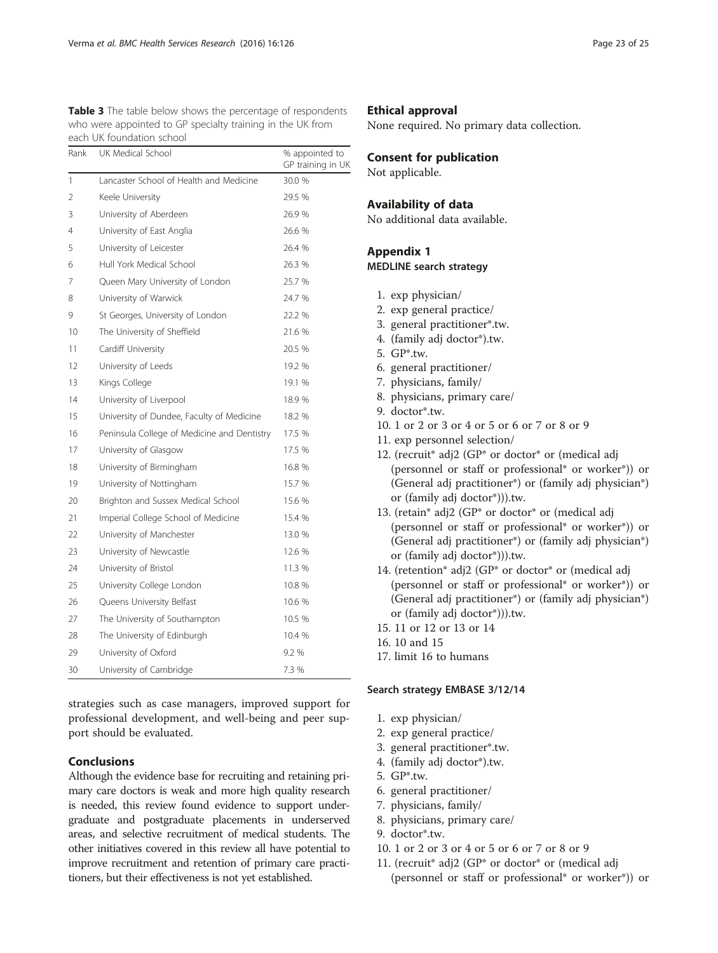<span id="page-22-0"></span>Table 3 The table below shows the percentage of respondents who were appointed to GP specialty training in the UK from each UK foundation school

| Rank           | UK Medical School                           | % appointed to<br>GP training in UK |
|----------------|---------------------------------------------|-------------------------------------|
| 1              | Lancaster School of Health and Medicine     | 30.0 %                              |
| $\overline{2}$ | Keele University                            | 29.5 %                              |
| 3              | University of Aberdeen                      | 26.9 %                              |
| 4              | University of East Anglia                   | 26.6 %                              |
| 5              | University of Leicester                     | 26.4 %                              |
| 6              | Hull York Medical School                    | 26.3 %                              |
| 7              | Queen Mary University of London             | 25.7 %                              |
| 8              | University of Warwick                       | 24.7 %                              |
| 9              | St Georges, University of London            | 22.2 %                              |
| 10             | The University of Sheffield                 | 21.6 %                              |
| 11             | Cardiff University                          | 20.5 %                              |
| 12             | University of Leeds                         | 19.2 %                              |
| 13             | Kings College                               | 19.1 %                              |
| 14             | University of Liverpool                     | 18.9 %                              |
| 15             | University of Dundee, Faculty of Medicine   | 18.2 %                              |
| 16             | Peninsula College of Medicine and Dentistry | 17.5 %                              |
| 17             | University of Glasgow                       | 17.5 %                              |
| 18             | University of Birmingham                    | 16.8 %                              |
| 19             | University of Nottingham                    | 15.7 %                              |
| 20             | Brighton and Sussex Medical School          | 15.6 %                              |
| 21             | Imperial College School of Medicine         | 15.4 %                              |
| 22             | University of Manchester                    | 13.0 %                              |
| 23             | University of Newcastle                     | 12.6 %                              |
| 24             | University of Bristol                       | 11.3 %                              |
| 25             | University College London                   | 10.8 %                              |
| 26             | Queens University Belfast                   | 10.6 %                              |
| 27             | The University of Southampton               | 10.5 %                              |
| 28             | The University of Edinburgh                 | 10.4 %                              |
| 29             | University of Oxford                        | 9.2%                                |
| 30             | University of Cambridge                     | 7.3 %                               |

strategies such as case managers, improved support for professional development, and well-being and peer support should be evaluated.

## Conclusions

Although the evidence base for recruiting and retaining primary care doctors is weak and more high quality research is needed, this review found evidence to support undergraduate and postgraduate placements in underserved areas, and selective recruitment of medical students. The other initiatives covered in this review all have potential to improve recruitment and retention of primary care practitioners, but their effectiveness is not yet established.

#### Ethical approval

None required. No primary data collection.

#### Consent for publication

Not applicable.

## Availability of data

No additional data available.

## Appendix 1

## MEDLINE search strategy

- 1. exp physician/
- 2. exp general practice/
- 3. general practitioner\*.tw.
- 4. (family adj doctor\*).tw.
- 5. GP\*.tw.
- 6. general practitioner/
- 7. physicians, family/
- 8. physicians, primary care/
- 9. doctor<sup>\*</sup> tw.
- 10. 1 or 2 or 3 or 4 or 5 or 6 or 7 or 8 or 9
- 11. exp personnel selection/
- 12. (recruit\* adj2 (GP\* or doctor\* or (medical adj (personnel or staff or professional\* or worker\*)) or (General adj practitioner\*) or (family adj physician\*) or (family adj doctor\*))).tw.
- 13. (retain\* adj2 (GP\* or doctor\* or (medical adj (personnel or staff or professional\* or worker\*)) or (General adj practitioner\*) or (family adj physician\*) or (family adj doctor\*))).tw.
- 14. (retention\* adj2 (GP\* or doctor\* or (medical adj (personnel or staff or professional\* or worker\*)) or (General adj practitioner\*) or (family adj physician\*) or (family adj doctor\*))).tw.
- 15. 11 or 12 or 13 or 14
- 16. 10 and 15
- 17. limit 16 to humans

## Search strategy EMBASE 3/12/14

- 1. exp physician/
- 2. exp general practice/
- 3. general practitioner\*.tw.
- 4. (family adj doctor\*).tw.
- 5. GP\*.tw.
- 6. general practitioner/
- 7. physicians, family/
- 8. physicians, primary care/
- 9. doctor\*.tw.
- 10. 1 or 2 or 3 or 4 or 5 or 6 or 7 or 8 or 9
- 11. (recruit\* adj2 (GP\* or doctor\* or (medical adj (personnel or staff or professional\* or worker\*)) or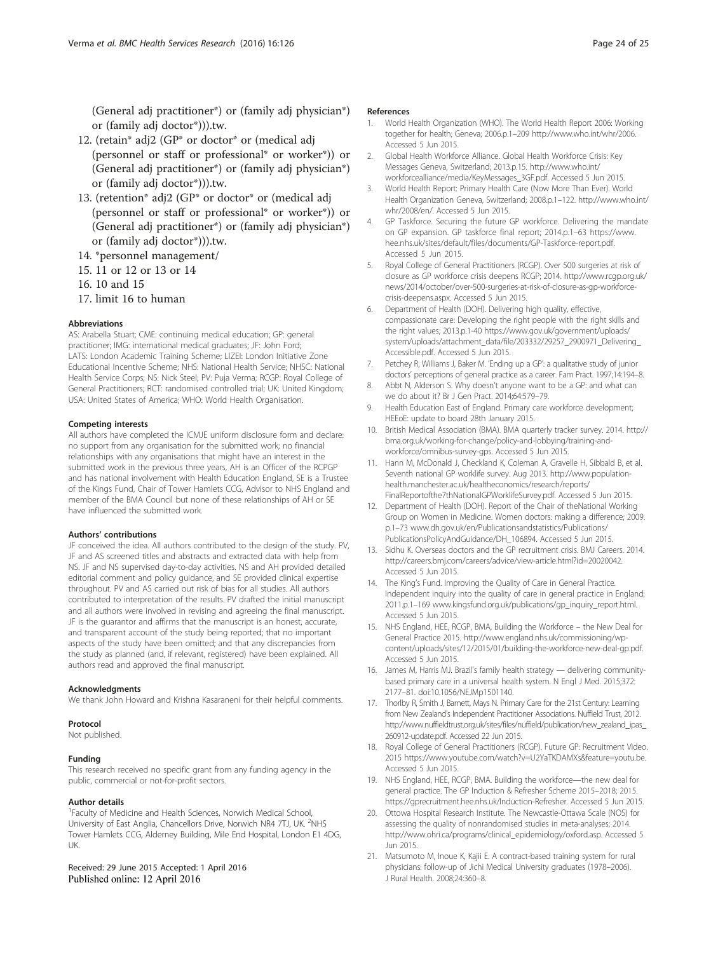<span id="page-23-0"></span>(General adj practitioner\*) or (family adj physician\*) or (family adj doctor\*))).tw.

- 12. (retain\* adj2 (GP\* or doctor\* or (medical adj (personnel or staff or professional\* or worker\*)) or (General adj practitioner\*) or (family adj physician\*) or (family adj doctor\*))).tw.
- 13. (retention\* adj2 (GP\* or doctor\* or (medical adj (personnel or staff or professional\* or worker\*)) or (General adj practitioner\*) or (family adj physician\*) or (family adj doctor\*))).tw.
- 14. \*personnel management/
- 15. 11 or 12 or 13 or 14
- 16. 10 and 15
- 17. limit 16 to human

#### Abbreviations

AS: Arabella Stuart; CME: continuing medical education; GP: general practitioner; IMG: international medical graduates; JF: John Ford; LATS: London Academic Training Scheme; LIZEI: London Initiative Zone Educational Incentive Scheme; NHS: National Health Service; NHSC: National Health Service Corps; NS: Nick Steel; PV: Puja Verma; RCGP: Royal College of General Practitioners; RCT: randomised controlled trial; UK: United Kingdom; USA: United States of America; WHO: World Health Organisation.

#### Competing interests

All authors have completed the ICMJE uniform disclosure form and declare: no support from any organisation for the submitted work; no financial relationships with any organisations that might have an interest in the submitted work in the previous three years, AH is an Officer of the RCPGP and has national involvement with Health Education England, SE is a Trustee of the Kings Fund, Chair of Tower Hamlets CCG, Advisor to NHS England and member of the BMA Council but none of these relationships of AH or SE have influenced the submitted work.

#### Authors' contributions

JF conceived the idea. All authors contributed to the design of the study. PV, JF and AS screened titles and abstracts and extracted data with help from NS. JF and NS supervised day-to-day activities. NS and AH provided detailed editorial comment and policy guidance, and SE provided clinical expertise throughout. PV and AS carried out risk of bias for all studies. All authors contributed to interpretation of the results. PV drafted the initial manuscript and all authors were involved in revising and agreeing the final manuscript. JF is the guarantor and affirms that the manuscript is an honest, accurate, and transparent account of the study being reported; that no important aspects of the study have been omitted; and that any discrepancies from the study as planned (and, if relevant, registered) have been explained. All authors read and approved the final manuscript.

#### Acknowledgments

We thank John Howard and Krishna Kasaraneni for their helpful comments.

#### Protocol

Not published.

#### Funding

This research received no specific grant from any funding agency in the public, commercial or not-for-profit sectors.

#### Author details

<sup>1</sup> Faculty of Medicine and Health Sciences, Norwich Medical School, University of East Anglia, Chancellors Drive, Norwich NR4 7TJ, UK. <sup>2</sup>NHS Tower Hamlets CCG, Alderney Building, Mile End Hospital, London E1 4DG, UK.

#### Received: 29 June 2015 Accepted: 1 April 2016 Published online: 12 April 2016

#### References

- 1. World Health Organization (WHO). The World Health Report 2006: Working together for health; Geneva; 2006.p.1–209 [http://www.who.int/whr/2006.](http://www.who.int/whr/2006) Accessed 5 Jun 2015.
- 2. Global Health Workforce Alliance. Global Health Workforce Crisis: Key Messages Geneva, Switzerland; 2013.p.15. [http://www.who.int/](http://www.who.int/workforcealliance/media/KeyMessages_3GF.pdf) [workforcealliance/media/KeyMessages\\_3GF.pdf](http://www.who.int/workforcealliance/media/KeyMessages_3GF.pdf). Accessed 5 Jun 2015.
- 3. World Health Report: Primary Health Care (Now More Than Ever). World Health Organization Geneva, Switzerland; 2008.p.1–122. [http://www.who.int/](http://www.who.int/whr/2008/en/) [whr/2008/en/.](http://www.who.int/whr/2008/en/) Accessed 5 Jun 2015.
- 4. GP Taskforce. Securing the future GP workforce. Delivering the mandate on GP expansion. GP taskforce final report; 2014.p.1–63 [https://www.](https://www.hee.nhs.uk/sites/default/files/documents/GP-Taskforce-report.pdf) [hee.nhs.uk/sites/default/files/documents/GP-Taskforce-report.pdf.](https://www.hee.nhs.uk/sites/default/files/documents/GP-Taskforce-report.pdf) Accessed 5 Jun 2015.
- 5. Royal College of General Practitioners (RCGP). Over 500 surgeries at risk of closure as GP workforce crisis deepens RCGP; 2014. [http://www.rcgp.org.uk/](http://www.rcgp.org.uk/news/2014/october/over-500-surgeries-at-risk-of-closure-as-gp-workforce-crisis-deepens.aspx) [news/2014/october/over-500-surgeries-at-risk-of-closure-as-gp-workforce](http://www.rcgp.org.uk/news/2014/october/over-500-surgeries-at-risk-of-closure-as-gp-workforce-crisis-deepens.aspx)[crisis-deepens.aspx](http://www.rcgp.org.uk/news/2014/october/over-500-surgeries-at-risk-of-closure-as-gp-workforce-crisis-deepens.aspx). Accessed 5 Jun 2015.
- 6. Department of Health (DOH). Delivering high quality, effective, compassionate care: Developing the right people with the right skills and the right values; 2013.p.1-40 [https://www.gov.uk/government/uploads/](https://www.gov.uk/government/uploads/system/uploads/attachment_data/file/203332/29257_2900971_Delivering_Accessible.pdf) [system/uploads/attachment\\_data/file/203332/29257\\_2900971\\_Delivering\\_](https://www.gov.uk/government/uploads/system/uploads/attachment_data/file/203332/29257_2900971_Delivering_Accessible.pdf) [Accessible.pdf.](https://www.gov.uk/government/uploads/system/uploads/attachment_data/file/203332/29257_2900971_Delivering_Accessible.pdf) Accessed 5 Jun 2015.
- 7. Petchey R, Williams J, Baker M. 'Ending up a GP': a qualitative study of junior doctors' perceptions of general practice as a career. Fam Pract. 1997;14:194–8.
- 8. Abbt N, Alderson S. Why doesn't anyone want to be a GP: and what can we do about it? Br J Gen Pract. 2014;64:579–79.
- 9. Health Education East of England. Primary care workforce development; HEEoE: update to board 28th January 2015.
- 10. British Medical Association (BMA). BMA quarterly tracker survey. 2014. [http://](http://bma.org.uk/working-for-change/policy-and-lobbying/training-and-workforce/omnibus-survey-gps) [bma.org.uk/working-for-change/policy-and-lobbying/training-and](http://bma.org.uk/working-for-change/policy-and-lobbying/training-and-workforce/omnibus-survey-gps)[workforce/omnibus-survey-gps.](http://bma.org.uk/working-for-change/policy-and-lobbying/training-and-workforce/omnibus-survey-gps) Accessed 5 Jun 2015.
- 11. Hann M, McDonald J, Checkland K, Coleman A, Gravelle H, Sibbald B, et al. Seventh national GP worklife survey. Aug 2013. [http://www.population](http://www.population-health.manchester.ac.uk/healtheconomics/research/reports/FinalReportofthe7thNationalGPWorklifeSurvey.pdf)[health.manchester.ac.uk/healtheconomics/research/reports/](http://www.population-health.manchester.ac.uk/healtheconomics/research/reports/FinalReportofthe7thNationalGPWorklifeSurvey.pdf) [FinalReportofthe7thNationalGPWorklifeSurvey.pdf.](http://www.population-health.manchester.ac.uk/healtheconomics/research/reports/FinalReportofthe7thNationalGPWorklifeSurvey.pdf) Accessed 5 Jun 2015.
- 12. Department of Health (DOH). Report of the Chair of theNational Working Group on Women in Medicine. Women doctors: making a difference; 2009. p.1–73 [www.dh.gov.uk/en/Publicationsandstatistics/Publications/](http://www.dh.gov.uk/en/Publicationsandstatistics/Publications/PublicationsPolicyAndGuidance/DH_106894) [PublicationsPolicyAndGuidance/DH\\_106894.](http://www.dh.gov.uk/en/Publicationsandstatistics/Publications/PublicationsPolicyAndGuidance/DH_106894) Accessed 5 Jun 2015.
- 13. Sidhu K. Overseas doctors and the GP recruitment crisis. BMJ Careers. 2014. <http://careers.bmj.com/careers/advice/view-article.html?id=20020042>. Accessed 5 Jun 2015.
- 14. The King's Fund. Improving the Quality of Care in General Practice. Independent inquiry into the quality of care in general practice in England; 2011.p.1–169 [www.kingsfund.org.uk/publications/gp\\_inquiry\\_report.html.](http://www.kingsfund.org.uk/publications/gp_inquiry_report.html) Accessed 5 Jun 2015.
- 15. NHS England, HEE, RCGP, BMA, Building the Workforce the New Deal for General Practice 2015. [http://www.england.nhs.uk/commissioning/wp](http://www.england.nhs.uk/commissioning/wp-content/uploads/sites/12/2015/01/building-the-workforce-new-deal-gp.pdf)[content/uploads/sites/12/2015/01/building-the-workforce-new-deal-gp.pdf.](http://www.england.nhs.uk/commissioning/wp-content/uploads/sites/12/2015/01/building-the-workforce-new-deal-gp.pdf) Accessed 5 Jun 2015.
- 16. James M, Harris MJ. Brazil's family health strategy delivering communitybased primary care in a universal health system. N Engl J Med. 2015;372: 2177–81. doi[:10.1056/NEJMp1501140.](http://dx.doi.org/10.1056/NEJMp1501140)
- 17. Thorlby R, Smith J, Barnett, Mays N. Primary Care for the 21st Century: Learning from New Zealand's Independent Practitioner Associations. Nuffield Trust, 2012. [http://www.nuffieldtrust.org.uk/sites/files/nuffield/publication/new\\_zealand\\_ipas\\_](http://www.nuffieldtrust.org.uk/sites/files/nuffield/publication/new_zealand_ipas_260912-update.pdf) [260912-update.pdf.](http://www.nuffieldtrust.org.uk/sites/files/nuffield/publication/new_zealand_ipas_260912-update.pdf) Accessed 22 Jun 2015.
- 18. Royal College of General Practitioners (RCGP). Future GP: Recruitment Video. 2015<https://www.youtube.com/watch?v=U2YaTKDAMXs&feature=youtu.be>. Accessed 5 Jun 2015.
- 19. NHS England, HEE, RCGP, BMA. Building the workforce—the new deal for general practice. The GP Induction & Refresher Scheme 2015–2018; 2015. <https://gprecruitment.hee.nhs.uk/Induction-Refresher>. Accessed 5 Jun 2015.
- 20. Ottowa Hospital Research Institute. The Newcastle-Ottawa Scale (NOS) for assessing the quality of nonrandomised studies in meta-analyses; 2014. [http://www.ohri.ca/programs/clinical\\_epidemiology/oxford.asp.](http://www.ohri.ca/programs/clinical_epidemiology/oxford.asp) Accessed 5 Jun 2015.
- 21. Matsumoto M, Inoue K, Kajii E. A contract-based training system for rural physicians: follow-up of Jichi Medical University graduates (1978–2006). J Rural Health. 2008;24:360–8.